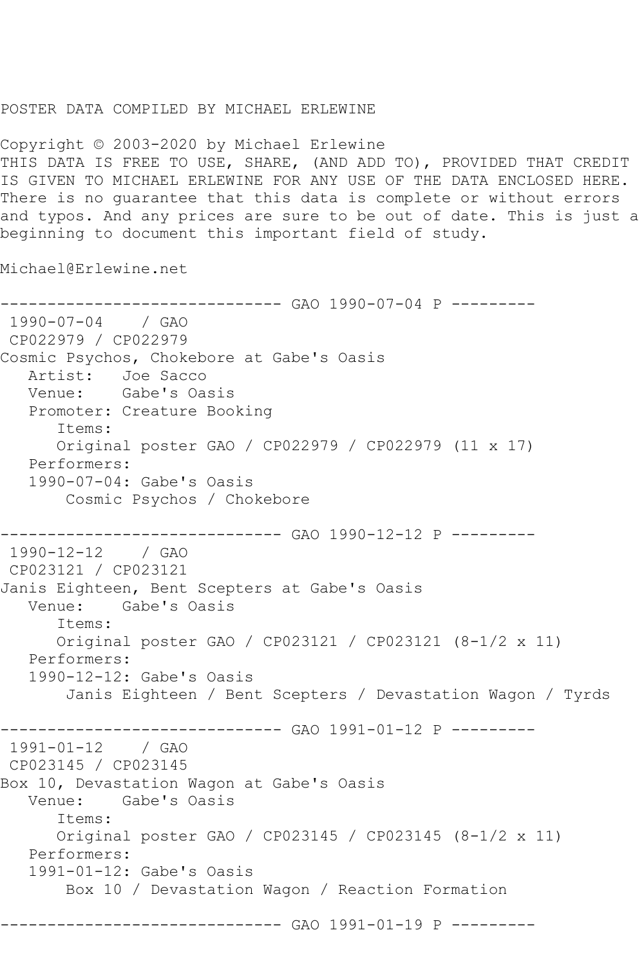## POSTER DATA COMPILED BY MICHAEL ERLEWINE

Copyright © 2003-2020 by Michael Erlewine THIS DATA IS FREE TO USE, SHARE, (AND ADD TO), PROVIDED THAT CREDIT IS GIVEN TO MICHAEL ERLEWINE FOR ANY USE OF THE DATA ENCLOSED HERE. There is no guarantee that this data is complete or without errors and typos. And any prices are sure to be out of date. This is just a beginning to document this important field of study.

Michael@Erlewine.net

------------------------------ GAO 1990-07-04 P --------- 1990-07-04 / GAO CP022979 / CP022979 Cosmic Psychos, Chokebore at Gabe's Oasis Artist: Joe Sacco<br>Venue: Gabe's Oas Gabe's Oasis Promoter: Creature Booking Items: Original poster GAO / CP022979 / CP022979 (11 x 17) Performers: 1990-07-04: Gabe's Oasis Cosmic Psychos / Chokebore ------------------------------ GAO 1990-12-12 P --------- 1990-12-12 / GAO CP023121 / CP023121 Janis Eighteen, Bent Scepters at Gabe's Oasis Venue: Gabe's Oasis Items: Original poster GAO / CP023121 / CP023121 (8-1/2 x 11) Performers: 1990-12-12: Gabe's Oasis Janis Eighteen / Bent Scepters / Devastation Wagon / Tyrds ------------------------------ GAO 1991-01-12 P --------- 1991-01-12 / GAO CP023145 / CP023145 Box 10, Devastation Wagon at Gabe's Oasis Gabe's Oasis Items: Original poster GAO / CP023145 / CP023145 (8-1/2 x 11) Performers: 1991-01-12: Gabe's Oasis Box 10 / Devastation Wagon / Reaction Formation ----------------- GAO 1991-01-19 P ---------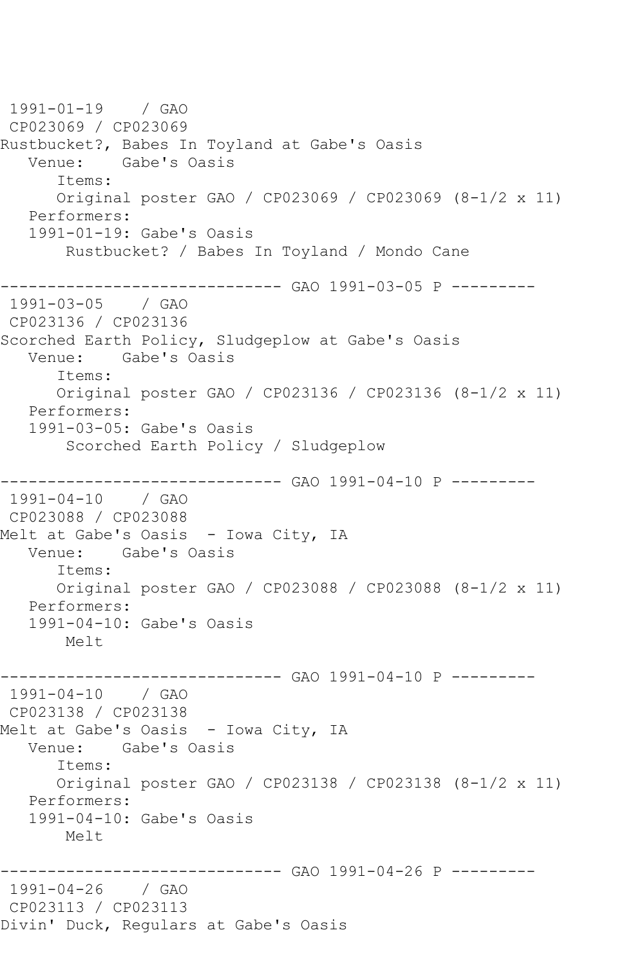1991-01-19 / GAO CP023069 / CP023069 Rustbucket?, Babes In Toyland at Gabe's Oasis Venue: Gabe's Oasis Items: Original poster GAO / CP023069 / CP023069 (8-1/2 x 11) Performers: 1991-01-19: Gabe's Oasis Rustbucket? / Babes In Toyland / Mondo Cane ------------------------------ GAO 1991-03-05 P --------- 1991-03-05 / GAO CP023136 / CP023136 Scorched Earth Policy, Sludgeplow at Gabe's Oasis Venue: Gabe's Oasis Items: Original poster GAO / CP023136 / CP023136 (8-1/2 x 11) Performers: 1991-03-05: Gabe's Oasis Scorched Earth Policy / Sludgeplow ----------- GAO 1991-04-10 P ---------1991-04-10 / GAO CP023088 / CP023088 Melt at Gabe's Oasis - Iowa City, IA Venue: Gabe's Oasis Items: Original poster GAO / CP023088 / CP023088 (8-1/2 x 11) Performers: 1991-04-10: Gabe's Oasis Melt ------------------------------ GAO 1991-04-10 P --------- 1991-04-10 / GAO CP023138 / CP023138 Melt at Gabe's Oasis - Iowa City, IA Venue: Gabe's Oasis Items: Original poster GAO / CP023138 / CP023138 (8-1/2 x 11) Performers: 1991-04-10: Gabe's Oasis Melt ------------------------------ GAO 1991-04-26 P --------- 1991-04-26 / GAO CP023113 / CP023113 Divin' Duck, Regulars at Gabe's Oasis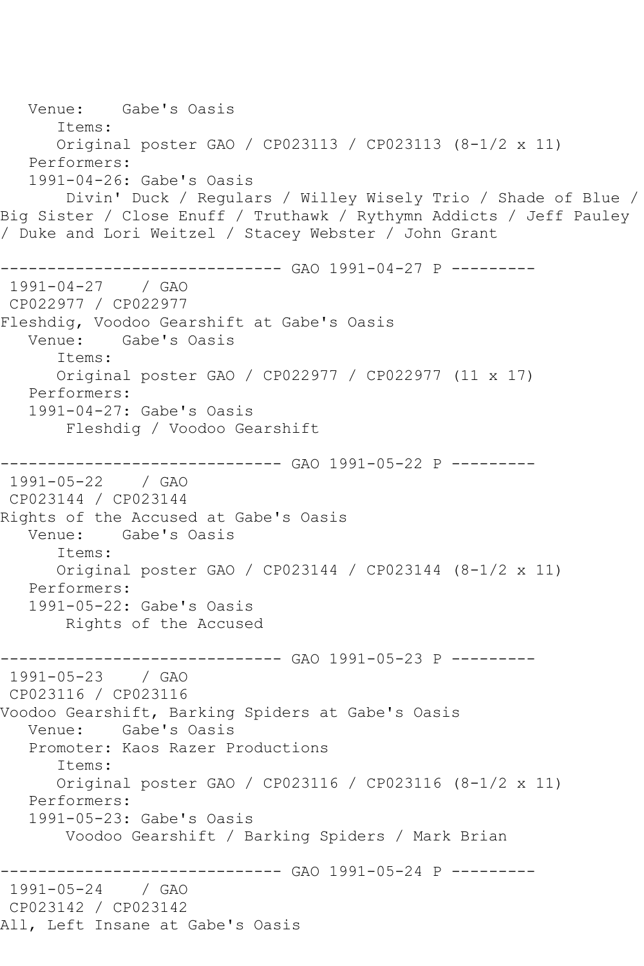Venue: Gabe's Oasis Items: Original poster GAO / CP023113 / CP023113 (8-1/2 x 11) Performers: 1991-04-26: Gabe's Oasis Divin' Duck / Regulars / Willey Wisely Trio / Shade of Blue / Big Sister / Close Enuff / Truthawk / Rythymn Addicts / Jeff Pauley / Duke and Lori Weitzel / Stacey Webster / John Grant ------------------------------ GAO 1991-04-27 P --------- 1991-04-27 / GAO CP022977 / CP022977 Fleshdig, Voodoo Gearshift at Gabe's Oasis Gabe's Oasis Items: Original poster GAO / CP022977 / CP022977 (11 x 17) Performers: 1991-04-27: Gabe's Oasis Fleshdig / Voodoo Gearshift ------------------------------ GAO 1991-05-22 P --------- 1991-05-22 / GAO CP023144 / CP023144 Rights of the Accused at Gabe's Oasis Venue: Gabe's Oasis Items: Original poster GAO / CP023144 / CP023144 (8-1/2 x 11) Performers: 1991-05-22: Gabe's Oasis Rights of the Accused ------------------------------ GAO 1991-05-23 P --------- 1991-05-23 / GAO CP023116 / CP023116 Voodoo Gearshift, Barking Spiders at Gabe's Oasis Venue: Gabe's Oasis Promoter: Kaos Razer Productions Items: Original poster GAO / CP023116 / CP023116 (8-1/2 x 11) Performers: 1991-05-23: Gabe's Oasis Voodoo Gearshift / Barking Spiders / Mark Brian ------------------------------ GAO 1991-05-24 P --------- 1991-05-24 CP023142 / CP023142 All, Left Insane at Gabe's Oasis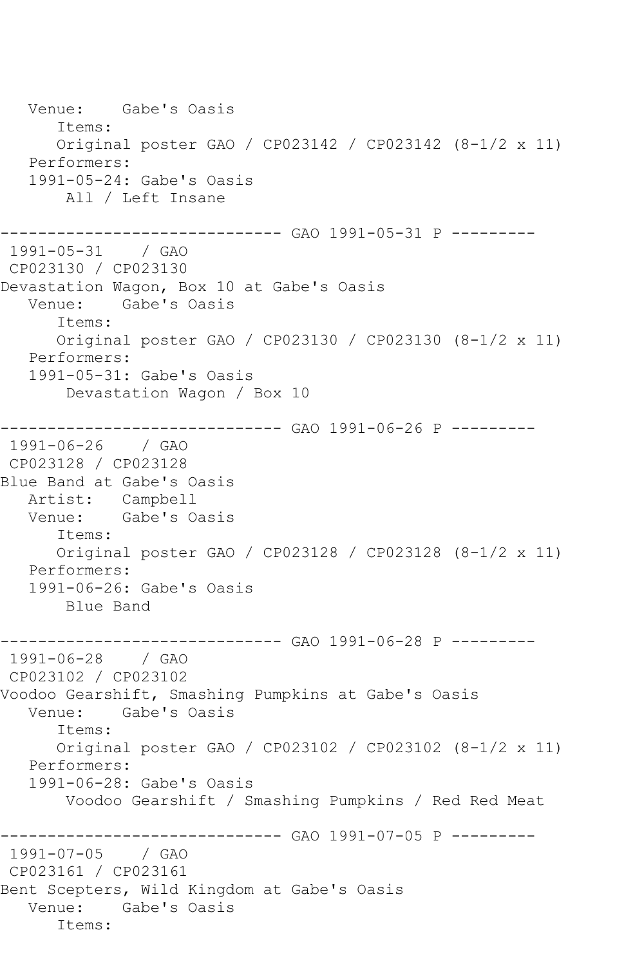Venue: Gabe's Oasis Items: Original poster GAO / CP023142 / CP023142 (8-1/2 x 11) Performers: 1991-05-24: Gabe's Oasis All / Left Insane ------------------------------ GAO 1991-05-31 P --------- 1991-05-31 / GAO CP023130 / CP023130 Devastation Wagon, Box 10 at Gabe's Oasis Venue: Gabe's Oasis Items: Original poster GAO / CP023130 / CP023130 (8-1/2 x 11) Performers: 1991-05-31: Gabe's Oasis Devastation Wagon / Box 10 ------------------------------ GAO 1991-06-26 P --------- 1991-06-26 / GAO CP023128 / CP023128 Blue Band at Gabe's Oasis Artist: Campbell<br>Venue: Gabe's O Gabe's Oasis Items: Original poster GAO / CP023128 / CP023128 (8-1/2 x 11) Performers: 1991-06-26: Gabe's Oasis Blue Band ------------------------------ GAO 1991-06-28 P --------- 1991-06-28 / GAO CP023102 / CP023102 Voodoo Gearshift, Smashing Pumpkins at Gabe's Oasis Venue: Gabe's Oasis Items: Original poster GAO / CP023102 / CP023102 (8-1/2 x 11) Performers: 1991-06-28: Gabe's Oasis Voodoo Gearshift / Smashing Pumpkins / Red Red Meat ------------------------------ GAO 1991-07-05 P --------- 1991-07-05 / GAO CP023161 / CP023161 Bent Scepters, Wild Kingdom at Gabe's Oasis Venue: Gabe's Oasis Items: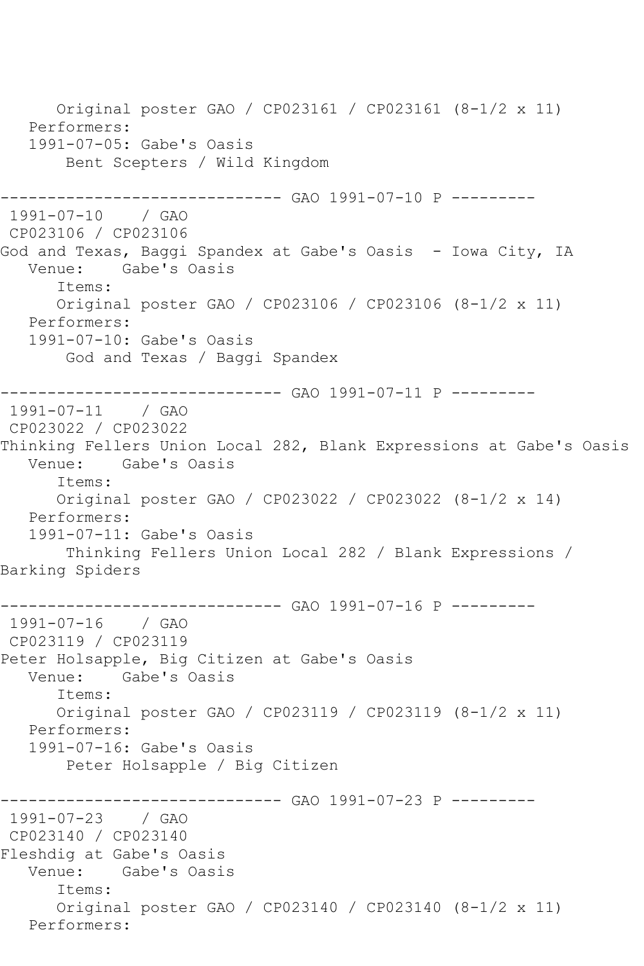Original poster GAO / CP023161 / CP023161 (8-1/2 x 11) Performers: 1991-07-05: Gabe's Oasis Bent Scepters / Wild Kingdom ----------- GAO 1991-07-10 P ---------1991-07-10 / GAO CP023106 / CP023106 God and Texas, Baggi Spandex at Gabe's Oasis - Iowa City, IA Venue: Gabe's Oasis Items: Original poster GAO / CP023106 / CP023106 (8-1/2 x 11) Performers: 1991-07-10: Gabe's Oasis God and Texas / Baggi Spandex ------------------------------ GAO 1991-07-11 P --------- 1991-07-11 CP023022 / CP023022 Thinking Fellers Union Local 282, Blank Expressions at Gabe's Oasis Venue: Gabe's Oasis Items: Original poster GAO / CP023022 / CP023022 (8-1/2 x 14) Performers: 1991-07-11: Gabe's Oasis Thinking Fellers Union Local 282 / Blank Expressions / Barking Spiders ------------------------------ GAO 1991-07-16 P --------- 1991-07-16 / GAO CP023119 / CP023119 Peter Holsapple, Big Citizen at Gabe's Oasis Venue: Gabe's Oasis Items: Original poster GAO / CP023119 / CP023119 (8-1/2 x 11) Performers: 1991-07-16: Gabe's Oasis Peter Holsapple / Big Citizen ------------------------------ GAO 1991-07-23 P --------- 1991-07-23 / GAO CP023140 / CP023140 Fleshdig at Gabe's Oasis Venue: Gabe's Oasis Items: Original poster GAO / CP023140 / CP023140 (8-1/2 x 11) Performers: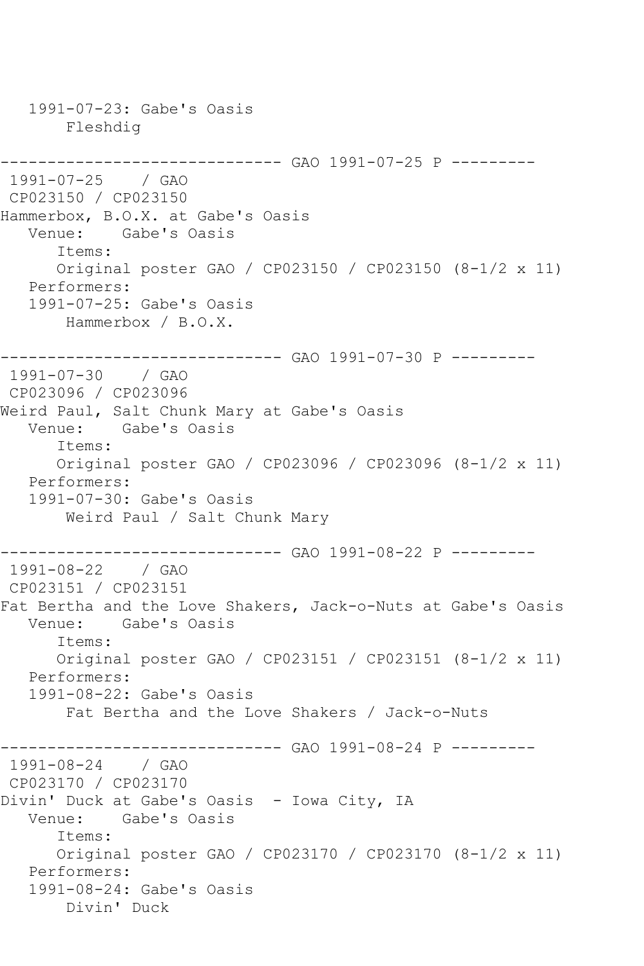1991-07-23: Gabe's Oasis Fleshdig ------------------------------ GAO 1991-07-25 P --------- 1991-07-25 / GAO CP023150 / CP023150 Hammerbox, B.O.X. at Gabe's Oasis Gabe's Oasis Items: Original poster GAO / CP023150 / CP023150 (8-1/2 x 11) Performers: 1991-07-25: Gabe's Oasis Hammerbox / B.O.X. ------------------------------ GAO 1991-07-30 P --------- 1991-07-30 / GAO CP023096 / CP023096 Weird Paul, Salt Chunk Mary at Gabe's Oasis Venue: Gabe's Oasis Items: Original poster GAO / CP023096 / CP023096 (8-1/2 x 11) Performers: 1991-07-30: Gabe's Oasis Weird Paul / Salt Chunk Mary ------------------------------ GAO 1991-08-22 P --------- 1991-08-22 / GAO CP023151 / CP023151 Fat Bertha and the Love Shakers, Jack-o-Nuts at Gabe's Oasis Venue: Gabe's Oasis Items: Original poster GAO / CP023151 / CP023151 (8-1/2 x 11) Performers: 1991-08-22: Gabe's Oasis Fat Bertha and the Love Shakers / Jack-o-Nuts ------------------------------ GAO 1991-08-24 P --------- 1991-08-24 / GAO CP023170 / CP023170 Divin' Duck at Gabe's Oasis - Iowa City, IA Venue: Gabe's Oasis Items: Original poster GAO / CP023170 / CP023170 (8-1/2 x 11) Performers: 1991-08-24: Gabe's Oasis Divin' Duck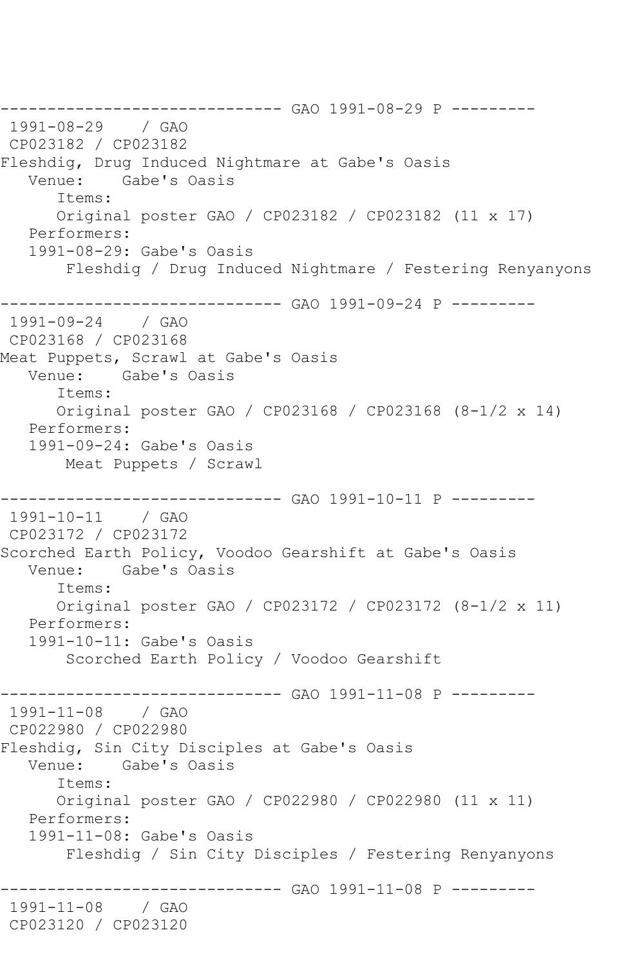------------------------------ GAO 1991-08-29 P --------- 1991-08-29 / GAO CP023182 / CP023182 Fleshdig, Drug Induced Nightmare at Gabe's Oasis Venue: Gabe's Oasis Items: Original poster GAO / CP023182 / CP023182 (11 x 17) Performers: 1991-08-29: Gabe's Oasis Fleshdig / Drug Induced Nightmare / Festering Renyanyons -------------------- GAO 1991-09-24 P ---------1991-09-24 / GAO CP023168 / CP023168 Meat Puppets, Scrawl at Gabe's Oasis Venue: Gabe's Oasis Items: Original poster GAO / CP023168 / CP023168 (8-1/2 x 14) Performers: 1991-09-24: Gabe's Oasis Meat Puppets / Scrawl ------------------------------ GAO 1991-10-11 P --------- 1991-10-11 / GAO CP023172 / CP023172 Scorched Earth Policy, Voodoo Gearshift at Gabe's Oasis Gabe's Oasis Items: Original poster GAO / CP023172 / CP023172 (8-1/2 x 11) Performers: 1991-10-11: Gabe's Oasis Scorched Earth Policy / Voodoo Gearshift  $------GAO 1991-11-08 P$  ---------1991-11-08 / GAO CP022980 / CP022980 Fleshdig, Sin City Disciples at Gabe's Oasis Venue: Gabe's Oasis Items: Original poster GAO / CP022980 / CP022980 (11 x 11) Performers: 1991-11-08: Gabe's Oasis Fleshdig / Sin City Disciples / Festering Renyanyons ------------------------------ GAO 1991-11-08 P --------- 1991-11-08 / GAO CP023120 / CP023120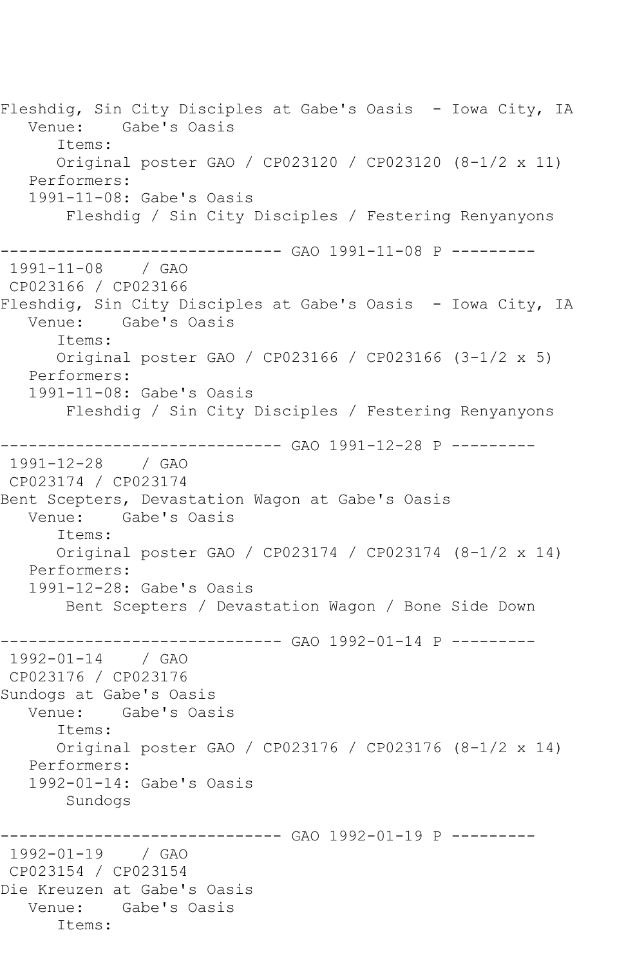Fleshdig, Sin City Disciples at Gabe's Oasis - Iowa City, IA Venue: Gabe's Oasis Items: Original poster GAO / CP023120 / CP023120 (8-1/2 x 11) Performers: 1991-11-08: Gabe's Oasis Fleshdig / Sin City Disciples / Festering Renyanyons ------------------------------ GAO 1991-11-08 P --------- 1991-11-08 / GAO CP023166 / CP023166 Fleshdig, Sin City Disciples at Gabe's Oasis - Iowa City, IA Venue: Gabe's Oasis Items: Original poster GAO / CP023166 / CP023166 (3-1/2 x 5) Performers: 1991-11-08: Gabe's Oasis Fleshdig / Sin City Disciples / Festering Renyanyons ---------------------------------- GAO 1991-12-28 P ---------<br>1991-12-28 / GAO 1991-12-28 CP023174 / CP023174 Bent Scepters, Devastation Wagon at Gabe's Oasis Gabe's Oasis Items: Original poster GAO / CP023174 / CP023174 (8-1/2 x 14) Performers: 1991-12-28: Gabe's Oasis Bent Scepters / Devastation Wagon / Bone Side Down ----------- GAO 1992-01-14 P ---------1992-01-14 / GAO CP023176 / CP023176 Sundogs at Gabe's Oasis Venue: Gabe's Oasis Items: Original poster GAO / CP023176 / CP023176 (8-1/2 x 14) Performers: 1992-01-14: Gabe's Oasis Sundogs ------------------------------ GAO 1992-01-19 P --------- 1992-01-19 / GAO CP023154 / CP023154 Die Kreuzen at Gabe's Oasis Venue: Gabe's Oasis Items: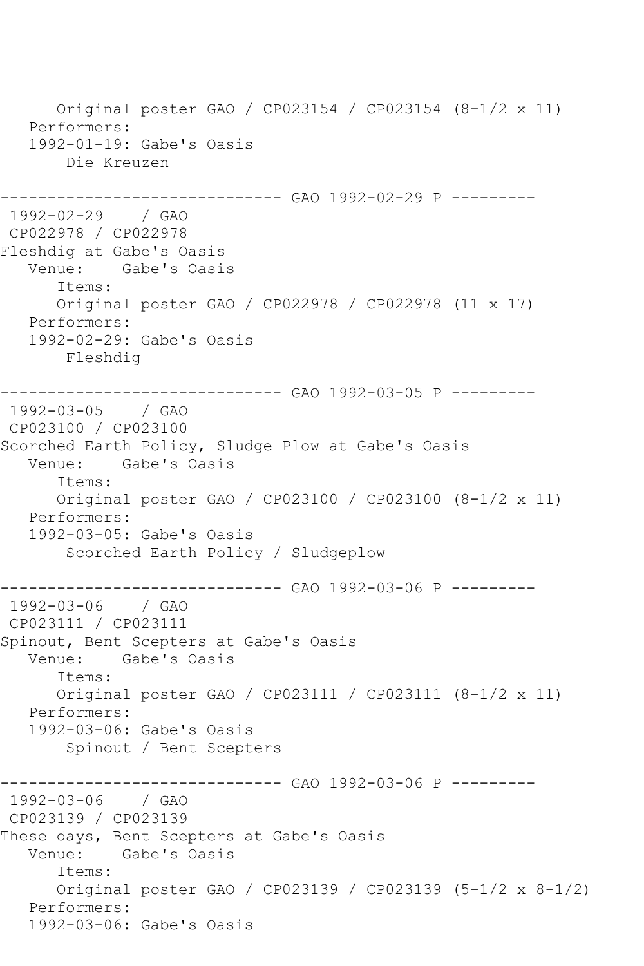Original poster GAO / CP023154 / CP023154 (8-1/2 x 11) Performers: 1992-01-19: Gabe's Oasis Die Kreuzen ----------- GAO 1992-02-29 P ---------1992-02-29 / GAO CP022978 / CP022978 Fleshdig at Gabe's Oasis Venue: Gabe's Oasis Items: Original poster GAO / CP022978 / CP022978 (11 x 17) Performers: 1992-02-29: Gabe's Oasis Fleshdig ------------------------------ GAO 1992-03-05 P --------- 1992-03-05 / GAO CP023100 / CP023100 Scorched Earth Policy, Sludge Plow at Gabe's Oasis Venue: Gabe's Oasis Items: Original poster GAO / CP023100 / CP023100 (8-1/2 x 11) Performers: 1992-03-05: Gabe's Oasis Scorched Earth Policy / Sludgeplow ----------- GAO 1992-03-06 P ---------1992-03-06 / GAO CP023111 / CP023111 Spinout, Bent Scepters at Gabe's Oasis Venue: Gabe's Oasis Items: Original poster GAO / CP023111 / CP023111 (8-1/2 x 11) Performers: 1992-03-06: Gabe's Oasis Spinout / Bent Scepters ------------------------------ GAO 1992-03-06 P --------- 1992-03-06 / GAO CP023139 / CP023139 These days, Bent Scepters at Gabe's Oasis Venue: Gabe's Oasis Items: Original poster GAO / CP023139 / CP023139 (5-1/2 x 8-1/2) Performers: 1992-03-06: Gabe's Oasis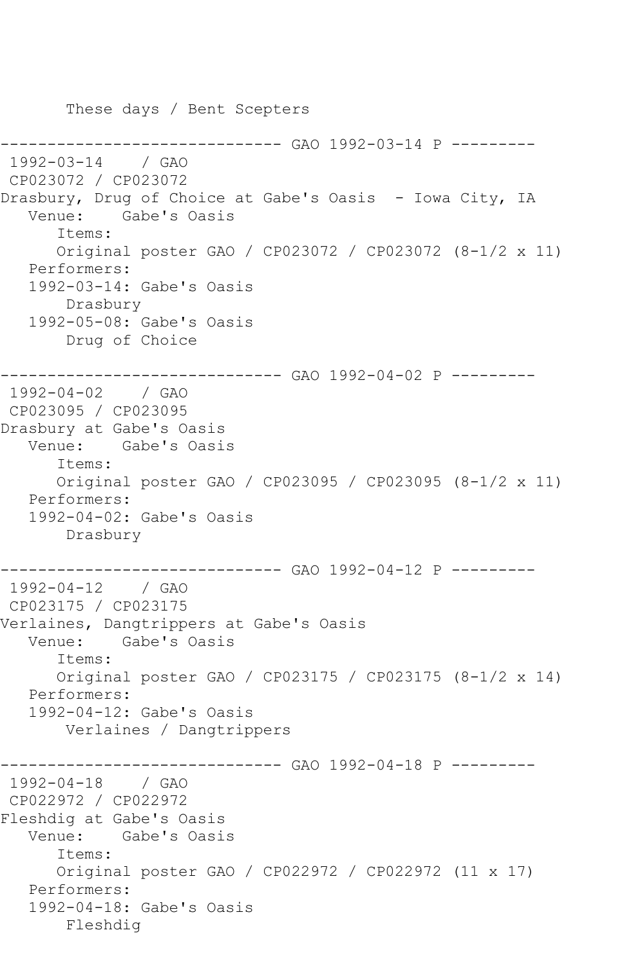These days / Bent Scepters ------------------------------ GAO 1992-03-14 P --------- 1992-03-14 / GAO CP023072 / CP023072 Drasbury, Drug of Choice at Gabe's Oasis - Iowa City, IA Venue: Gabe's Oasis Items: Original poster GAO / CP023072 / CP023072 (8-1/2 x 11) Performers: 1992-03-14: Gabe's Oasis Drasbury 1992-05-08: Gabe's Oasis Drug of Choice ------------------------------ GAO 1992-04-02 P --------- 1992-04-02 / GAO CP023095 / CP023095 Drasbury at Gabe's Oasis Venue: Gabe's Oasis Items: Original poster GAO / CP023095 / CP023095 (8-1/2 x 11) Performers: 1992-04-02: Gabe's Oasis Drasbury ------------------------------ GAO 1992-04-12 P --------- 1992-04-12 / GAO CP023175 / CP023175 Verlaines, Dangtrippers at Gabe's Oasis Venue: Gabe's Oasis Items: Original poster GAO / CP023175 / CP023175 (8-1/2 x 14) Performers: 1992-04-12: Gabe's Oasis Verlaines / Dangtrippers ----------- GAO 1992-04-18 P ---------1992-04-18 / GAO CP022972 / CP022972 Fleshdig at Gabe's Oasis Venue: Gabe's Oasis Items: Original poster GAO / CP022972 / CP022972 (11 x 17) Performers: 1992-04-18: Gabe's Oasis Fleshdig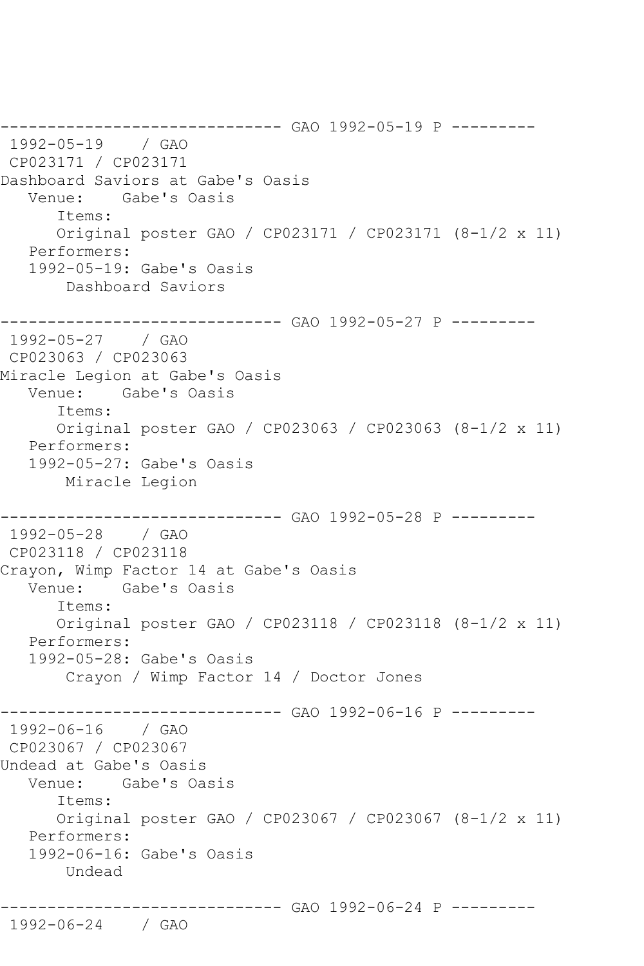------------------------------ GAO 1992-05-19 P --------- 1992-05-19 / GAO CP023171 / CP023171 Dashboard Saviors at Gabe's Oasis Venue: Gabe's Oasis Items: Original poster GAO / CP023171 / CP023171 (8-1/2 x 11) Performers: 1992-05-19: Gabe's Oasis Dashboard Saviors ------------------------------ GAO 1992-05-27 P --------- 1992-05-27 / GAO CP023063 / CP023063 Miracle Legion at Gabe's Oasis Venue: Gabe's Oasis Items: Original poster GAO / CP023063 / CP023063 (8-1/2 x 11) Performers: 1992-05-27: Gabe's Oasis Miracle Legion ------------------------------ GAO 1992-05-28 P --------- 1992-05-28 / GAO CP023118 / CP023118 Crayon, Wimp Factor 14 at Gabe's Oasis Venue: Gabe's Oasis Items: Original poster GAO / CP023118 / CP023118 (8-1/2 x 11) Performers: 1992-05-28: Gabe's Oasis Crayon / Wimp Factor 14 / Doctor Jones ----------- GAO 1992-06-16 P ---------1992-06-16 / GAO CP023067 / CP023067 Undead at Gabe's Oasis Venue: Gabe's Oasis Items: Original poster GAO / CP023067 / CP023067 (8-1/2 x 11) Performers: 1992-06-16: Gabe's Oasis Undead ------------------------------ GAO 1992-06-24 P ---------

1992-06-24 / GAO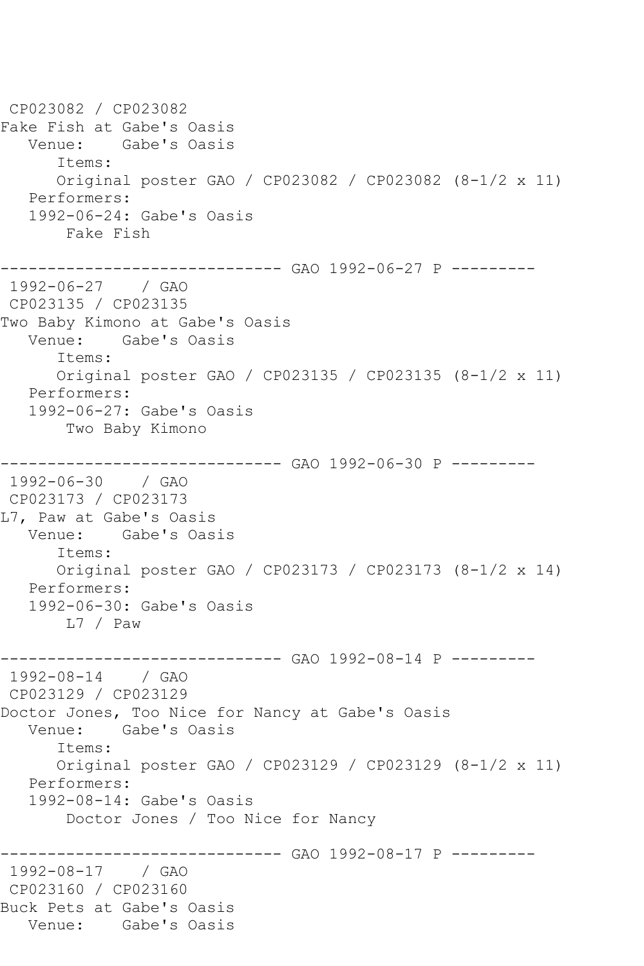CP023082 / CP023082 Fake Fish at Gabe's Oasis Venue: Gabe's Oasis Items: Original poster GAO / CP023082 / CP023082 (8-1/2 x 11) Performers: 1992-06-24: Gabe's Oasis Fake Fish ------------------------------ GAO 1992-06-27 P --------- 1992-06-27 / GAO CP023135 / CP023135 Two Baby Kimono at Gabe's Oasis Venue: Gabe's Oasis Items: Original poster GAO / CP023135 / CP023135 (8-1/2 x 11) Performers: 1992-06-27: Gabe's Oasis Two Baby Kimono ------------------------------ GAO 1992-06-30 P --------- 1992-06-30 / GAO CP023173 / CP023173 L7, Paw at Gabe's Oasis Venue: Gabe's Oasis Items: Original poster GAO / CP023173 / CP023173 (8-1/2 x 14) Performers: 1992-06-30: Gabe's Oasis L7 / Paw ------------------------------ GAO 1992-08-14 P --------- 1992-08-14 / GAO CP023129 / CP023129 Doctor Jones, Too Nice for Nancy at Gabe's Oasis Venue: Gabe's Oasis Items: Original poster GAO / CP023129 / CP023129 (8-1/2 x 11) Performers: 1992-08-14: Gabe's Oasis Doctor Jones / Too Nice for Nancy ------------ GAO 1992-08-17 P ---------1992-08-17 / GAO CP023160 / CP023160 Buck Pets at Gabe's Oasis Venue: Gabe's Oasis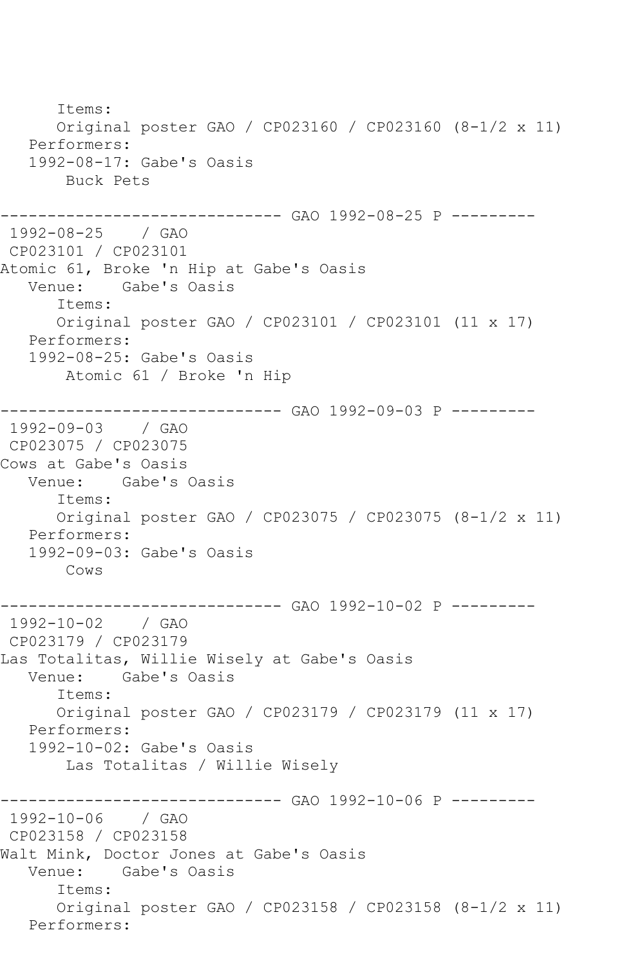Items: Original poster GAO / CP023160 / CP023160 (8-1/2 x 11) Performers: 1992-08-17: Gabe's Oasis Buck Pets ------------------------------ GAO 1992-08-25 P --------- 1992-08-25 / GAO CP023101 / CP023101 Atomic 61, Broke 'n Hip at Gabe's Oasis Gabe's Oasis Items: Original poster GAO / CP023101 / CP023101 (11 x 17) Performers: 1992-08-25: Gabe's Oasis Atomic 61 / Broke 'n Hip ------------------------------ GAO 1992-09-03 P --------- 1992-09-03 / GAO CP023075 / CP023075 Cows at Gabe's Oasis Venue: Gabe's Oasis Items: Original poster GAO / CP023075 / CP023075 (8-1/2 x 11) Performers: 1992-09-03: Gabe's Oasis Cows ---------- GAO 1992-10-02 P ---------1992-10-02 / GAO CP023179 / CP023179 Las Totalitas, Willie Wisely at Gabe's Oasis Venue: Gabe's Oasis Items: Original poster GAO / CP023179 / CP023179 (11 x 17) Performers: 1992-10-02: Gabe's Oasis Las Totalitas / Willie Wisely ------------------------------ GAO 1992-10-06 P ---------  $1992 - 10 - 06$ CP023158 / CP023158 Walt Mink, Doctor Jones at Gabe's Oasis Venue: Gabe's Oasis Items: Original poster GAO / CP023158 / CP023158 (8-1/2 x 11) Performers: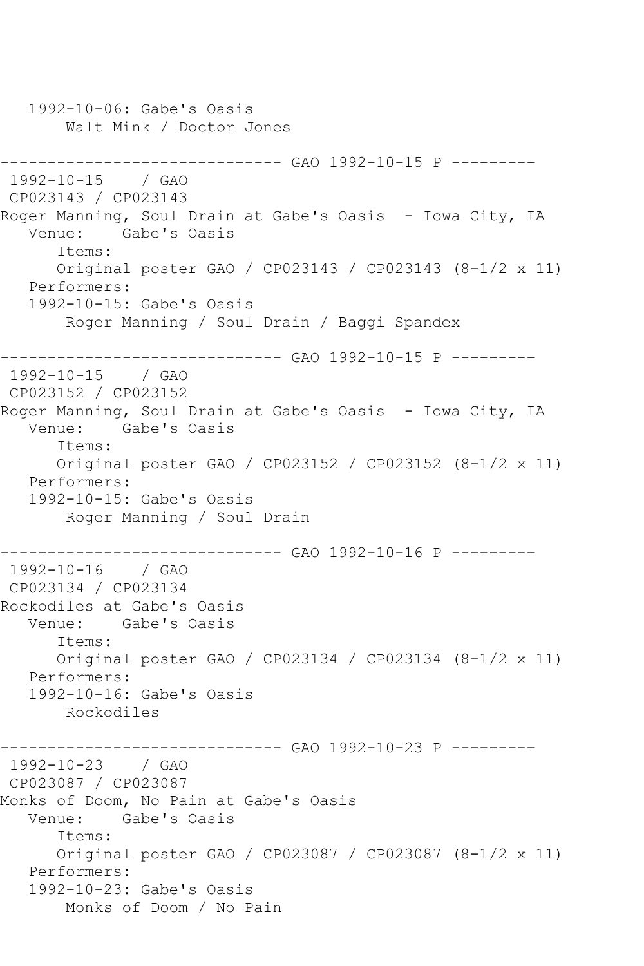1992-10-06: Gabe's Oasis Walt Mink / Doctor Jones --------------------------------- GAO 1992-10-15 P ----------<br>1992-10-15 / GAO 1992-10-15 CP023143 / CP023143 Roger Manning, Soul Drain at Gabe's Oasis - Iowa City, IA Venue: Gabe's Oasis Items: Original poster GAO / CP023143 / CP023143 (8-1/2 x 11) Performers: 1992-10-15: Gabe's Oasis Roger Manning / Soul Drain / Baggi Spandex ------------------------------ GAO 1992-10-15 P --------- 1992-10-15 / GAO CP023152 / CP023152 Roger Manning, Soul Drain at Gabe's Oasis - Iowa City, IA Venue: Gabe's Oasis Items: Original poster GAO / CP023152 / CP023152 (8-1/2 x 11) Performers: 1992-10-15: Gabe's Oasis Roger Manning / Soul Drain ------------------------------ GAO 1992-10-16 P --------- 1992-10-16 / GAO CP023134 / CP023134 Rockodiles at Gabe's Oasis Venue: Gabe's Oasis Items: Original poster GAO / CP023134 / CP023134 (8-1/2 x 11) Performers: 1992-10-16: Gabe's Oasis Rockodiles ------------------------------ GAO 1992-10-23 P --------- 1992-10-23 / GAO CP023087 / CP023087 Monks of Doom, No Pain at Gabe's Oasis Venue: Gabe's Oasis Items: Original poster GAO / CP023087 / CP023087 (8-1/2 x 11) Performers: 1992-10-23: Gabe's Oasis Monks of Doom / No Pain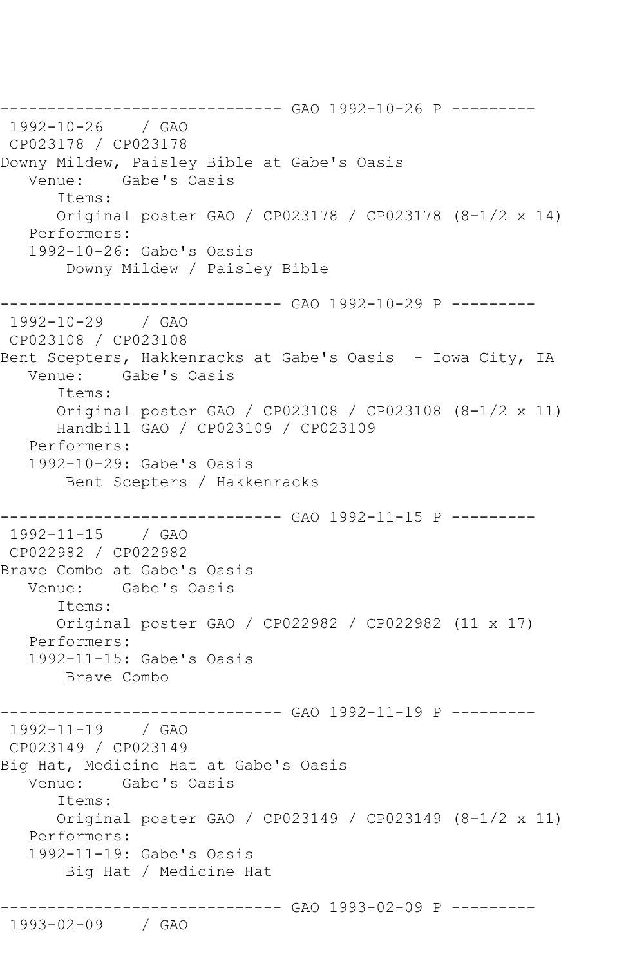------------------------------ GAO 1992-10-26 P --------- 1992-10-26 / GAO CP023178 / CP023178 Downy Mildew, Paisley Bible at Gabe's Oasis Venue: Gabe's Oasis Items: Original poster GAO / CP023178 / CP023178 (8-1/2 x 14) Performers: 1992-10-26: Gabe's Oasis Downy Mildew / Paisley Bible ------------------------------ GAO 1992-10-29 P ---------  $1992 - 10 - 29$ CP023108 / CP023108 Bent Scepters, Hakkenracks at Gabe's Oasis - Iowa City, IA Venue: Gabe's Oasis Items: Original poster GAO / CP023108 / CP023108 (8-1/2 x 11) Handbill GAO / CP023109 / CP023109 Performers: 1992-10-29: Gabe's Oasis Bent Scepters / Hakkenracks ------------------------------ GAO 1992-11-15 P --------- 1992-11-15 / GAO CP022982 / CP022982 Brave Combo at Gabe's Oasis Venue: Gabe's Oasis Items: Original poster GAO / CP022982 / CP022982 (11 x 17) Performers: 1992-11-15: Gabe's Oasis Brave Combo ---------- GAO 1992-11-19 P ---------1992-11-19 / GAO CP023149 / CP023149 Big Hat, Medicine Hat at Gabe's Oasis Venue: Gabe's Oasis Items: Original poster GAO / CP023149 / CP023149 (8-1/2 x 11) Performers: 1992-11-19: Gabe's Oasis Big Hat / Medicine Hat ------------------------------ GAO 1993-02-09 P --------- 1993-02-09 / GAO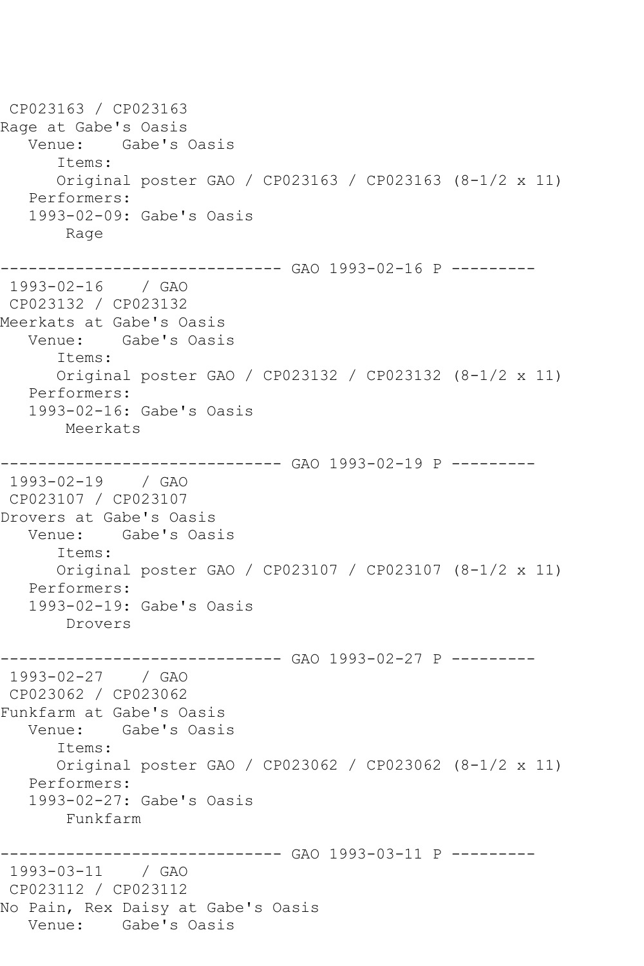CP023163 / CP023163 Rage at Gabe's Oasis Venue: Gabe's Oasis Items: Original poster GAO / CP023163 / CP023163 (8-1/2 x 11) Performers: 1993-02-09: Gabe's Oasis Rage ------------------------------ GAO 1993-02-16 P --------- 1993-02-16 / GAO CP023132 / CP023132 Meerkats at Gabe's Oasis Venue: Gabe's Oasis Items: Original poster GAO / CP023132 / CP023132 (8-1/2 x 11) Performers: 1993-02-16: Gabe's Oasis Meerkats ------------------------------ GAO 1993-02-19 P --------- 1993-02-19 / GAO CP023107 / CP023107 Drovers at Gabe's Oasis Venue: Gabe's Oasis Items: Original poster GAO / CP023107 / CP023107 (8-1/2 x 11) Performers: 1993-02-19: Gabe's Oasis Drovers ---------- GAO 1993-02-27 P ---------1993-02-27 / GAO CP023062 / CP023062 Funkfarm at Gabe's Oasis Venue: Gabe's Oasis Items: Original poster GAO / CP023062 / CP023062 (8-1/2 x 11) Performers: 1993-02-27: Gabe's Oasis Funkfarm ------------ GAO 1993-03-11 P ---------1993-03-11 / GAO CP023112 / CP023112 No Pain, Rex Daisy at Gabe's Oasis Venue: Gabe's Oasis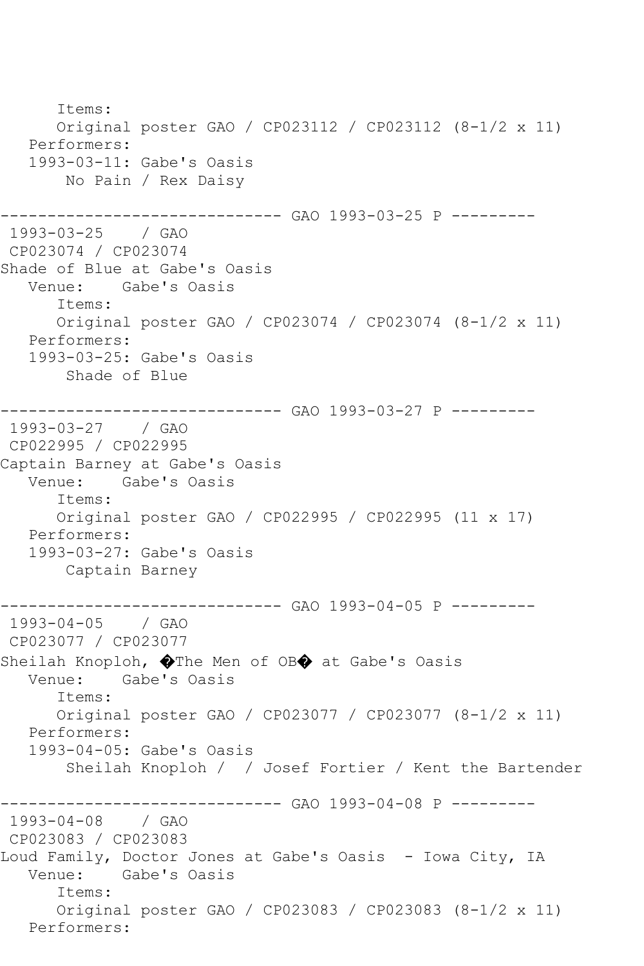Items: Original poster GAO / CP023112 / CP023112 (8-1/2 x 11) Performers: 1993-03-11: Gabe's Oasis No Pain / Rex Daisy ------------------------------ GAO 1993-03-25 P --------- 1993-03-25 / GAO CP023074 / CP023074 Shade of Blue at Gabe's Oasis<br>Venue: Gabe's Oasis Gabe's Oasis Items: Original poster GAO / CP023074 / CP023074 (8-1/2 x 11) Performers: 1993-03-25: Gabe's Oasis Shade of Blue ------------------------------ GAO 1993-03-27 P --------- 1993-03-27 / GAO CP022995 / CP022995 Captain Barney at Gabe's Oasis Venue: Gabe's Oasis Items: Original poster GAO / CP022995 / CP022995 (11 x 17) Performers: 1993-03-27: Gabe's Oasis Captain Barney ------------------------------ GAO 1993-04-05 P --------- 1993-04-05 / GAO CP023077 / CP023077 Sheilah Knoploh,  $\bigcirc$ The Men of OB $\bigcirc$  at Gabe's Oasis Venue: Gabe's Oasis Items: Original poster GAO / CP023077 / CP023077 (8-1/2 x 11) Performers: 1993-04-05: Gabe's Oasis Sheilah Knoploh / / Josef Fortier / Kent the Bartender ------------ GAO 1993-04-08 P ----------1993-04-08 / GAO CP023083 / CP023083 Loud Family, Doctor Jones at Gabe's Oasis – Iowa City, IA<br>Venue: Gabe's Oasis Gabe's Oasis Items: Original poster GAO / CP023083 / CP023083 (8-1/2 x 11) Performers: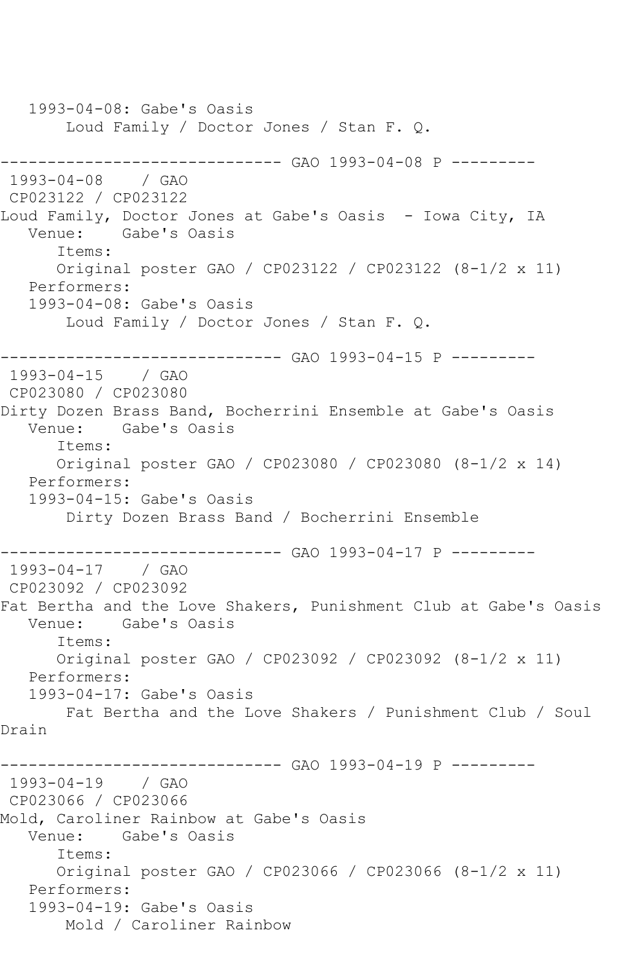1993-04-08: Gabe's Oasis Loud Family / Doctor Jones / Stan F. Q. ---------------------------------- GAO 1993-04-08 P ----------<br>1993-04-08 / GAO  $1993 - 04 - 08$ CP023122 / CP023122 Loud Family, Doctor Jones at Gabe's Oasis – Iowa City, IA<br>Venue: Gabe's Oasis Gabe's Oasis Items: Original poster GAO / CP023122 / CP023122 (8-1/2 x 11) Performers: 1993-04-08: Gabe's Oasis Loud Family / Doctor Jones / Stan F. Q. ------------------------------ GAO 1993-04-15 P --------- 1993-04-15 / GAO CP023080 / CP023080 Dirty Dozen Brass Band, Bocherrini Ensemble at Gabe's Oasis Venue: Gabe's Oasis Items: Original poster GAO / CP023080 / CP023080 (8-1/2 x 14) Performers: 1993-04-15: Gabe's Oasis Dirty Dozen Brass Band / Bocherrini Ensemble ------------------------------ GAO 1993-04-17 P --------- 1993-04-17 / GAO CP023092 / CP023092 Fat Bertha and the Love Shakers, Punishment Club at Gabe's Oasis Venue: Gabe's Oasis Items: Original poster GAO / CP023092 / CP023092 (8-1/2 x 11) Performers: 1993-04-17: Gabe's Oasis Fat Bertha and the Love Shakers / Punishment Club / Soul Drain ----------- GAO 1993-04-19 P ----------1993-04-19 / GAO CP023066 / CP023066 Mold, Caroliner Rainbow at Gabe's Oasis Venue: Gabe's Oasis Items: Original poster GAO / CP023066 / CP023066 (8-1/2 x 11) Performers: 1993-04-19: Gabe's Oasis Mold / Caroliner Rainbow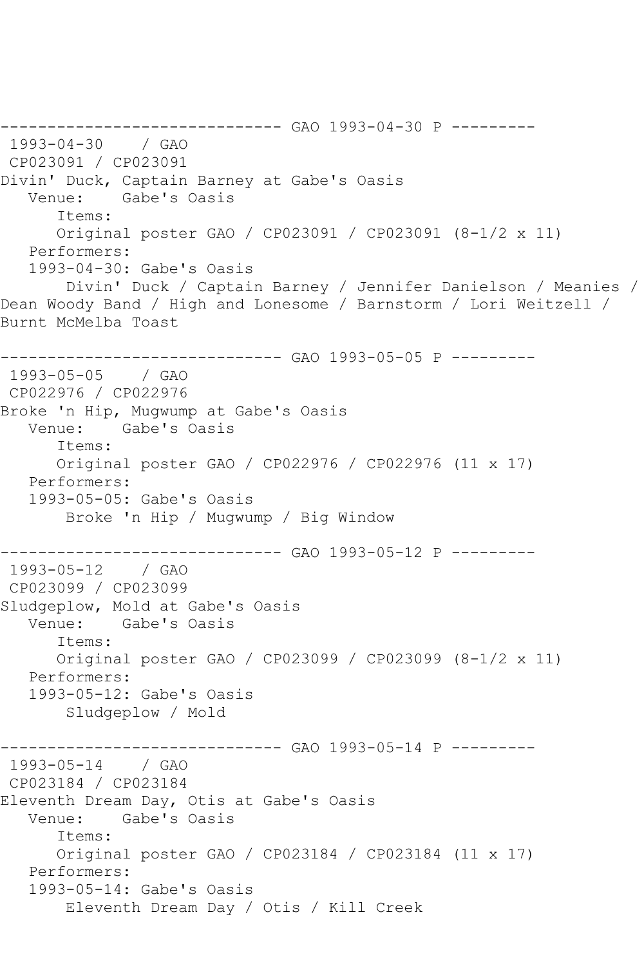------------------------------ GAO 1993-04-30 P --------- 1993-04-30 / GAO CP023091 / CP023091 Divin' Duck, Captain Barney at Gabe's Oasis Venue: Gabe's Oasis Items: Original poster GAO / CP023091 / CP023091 (8-1/2 x 11) Performers: 1993-04-30: Gabe's Oasis Divin' Duck / Captain Barney / Jennifer Danielson / Meanies / Dean Woody Band / High and Lonesome / Barnstorm / Lori Weitzell / Burnt McMelba Toast ------------------------------ GAO 1993-05-05 P --------- 1993-05-05 / GAO CP022976 / CP022976 Broke 'n Hip, Mugwump at Gabe's Oasis Venue: Gabe's Oasis Items: Original poster GAO / CP022976 / CP022976 (11 x 17) Performers: 1993-05-05: Gabe's Oasis Broke 'n Hip / Mugwump / Big Window ------------------------------ GAO 1993-05-12 P --------- 1993-05-12 / GAO CP023099 / CP023099 Sludgeplow, Mold at Gabe's Oasis Gabe's Oasis Items: Original poster GAO / CP023099 / CP023099 (8-1/2 x 11) Performers: 1993-05-12: Gabe's Oasis Sludgeplow / Mold ------------------------------ GAO 1993-05-14 P --------- 1993-05-14 / GAO CP023184 / CP023184 Eleventh Dream Day, Otis at Gabe's Oasis Venue: Gabe's Oasis Items: Original poster GAO / CP023184 / CP023184 (11 x 17) Performers: 1993-05-14: Gabe's Oasis Eleventh Dream Day / Otis / Kill Creek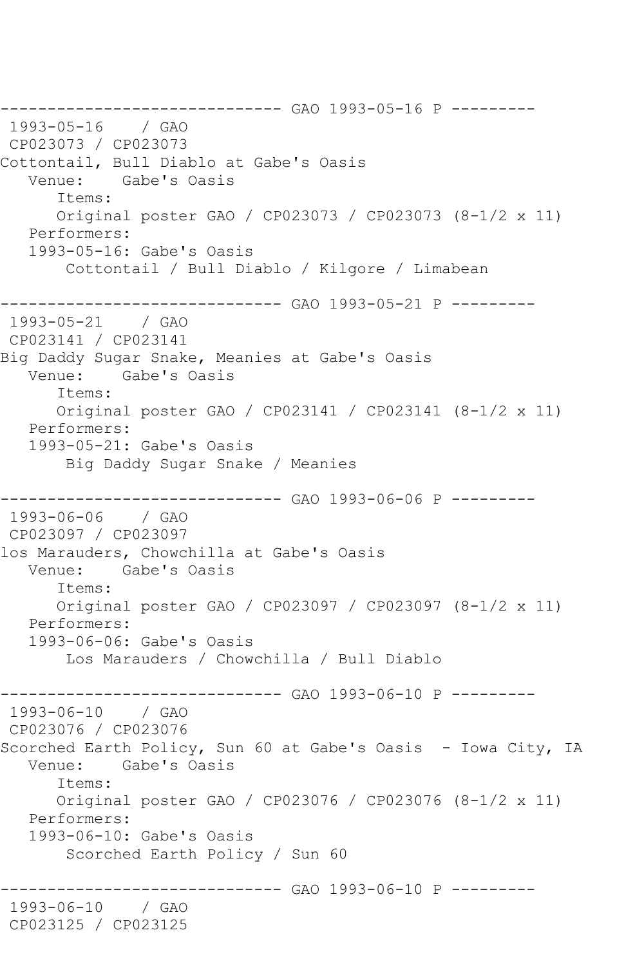------------------------------ GAO 1993-05-16 P --------- 1993-05-16 / GAO CP023073 / CP023073 Cottontail, Bull Diablo at Gabe's Oasis Gabe's Oasis Items: Original poster GAO / CP023073 / CP023073 (8-1/2 x 11) Performers: 1993-05-16: Gabe's Oasis Cottontail / Bull Diablo / Kilgore / Limabean ------------------------------ GAO 1993-05-21 P --------- 1993-05-21 / GAO CP023141 / CP023141 Big Daddy Sugar Snake, Meanies at Gabe's Oasis Venue: Gabe's Oasis Items: Original poster GAO / CP023141 / CP023141 (8-1/2 x 11) Performers: 1993-05-21: Gabe's Oasis Big Daddy Sugar Snake / Meanies ------------------------------ GAO 1993-06-06 P --------- 1993-06-06 / GAO CP023097 / CP023097 los Marauders, Chowchilla at Gabe's Oasis Gabe's Oasis Items: Original poster GAO / CP023097 / CP023097 (8-1/2 x 11) Performers: 1993-06-06: Gabe's Oasis Los Marauders / Chowchilla / Bull Diablo ------------------------------ GAO 1993-06-10 P --------- 1993-06-10 / GAO CP023076 / CP023076 Scorched Earth Policy, Sun 60 at Gabe's Oasis - Iowa City, IA Venue: Gabe's Oasis Items: Original poster GAO / CP023076 / CP023076 (8-1/2 x 11) Performers: 1993-06-10: Gabe's Oasis Scorched Earth Policy / Sun 60 ------------ GAO 1993-06-10 P ---------1993-06-10 / GAO CP023125 / CP023125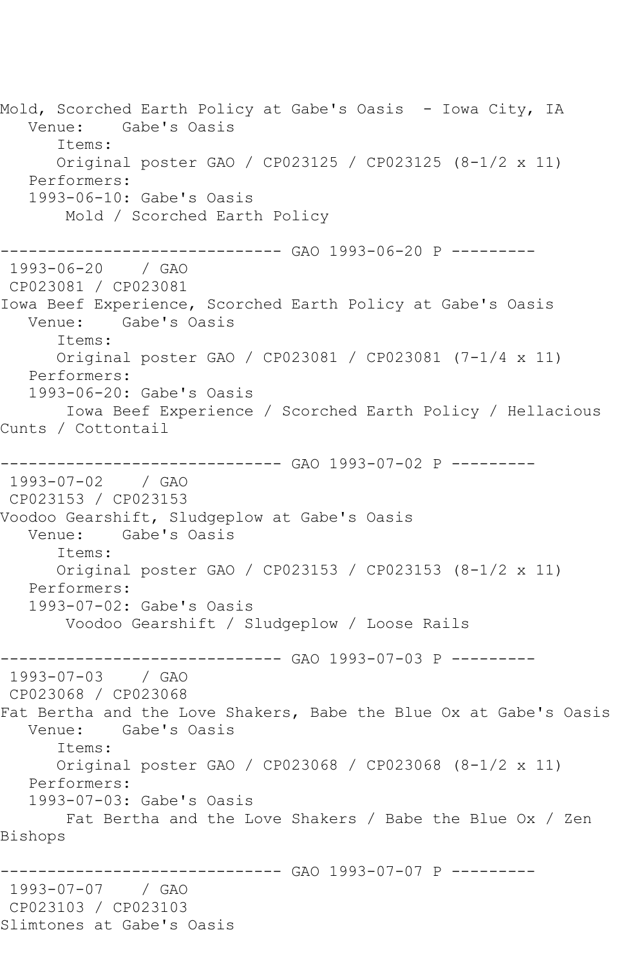Mold, Scorched Earth Policy at Gabe's Oasis - Iowa City, IA Venue: Gabe's Oasis Items: Original poster GAO / CP023125 / CP023125 (8-1/2 x 11) Performers: 1993-06-10: Gabe's Oasis Mold / Scorched Earth Policy ------------------------------ GAO 1993-06-20 P --------- 1993-06-20 / GAO CP023081 / CP023081 Iowa Beef Experience, Scorched Earth Policy at Gabe's Oasis Venue: Gabe's Oasis Items: Original poster GAO / CP023081 / CP023081 (7-1/4 x 11) Performers: 1993-06-20: Gabe's Oasis Iowa Beef Experience / Scorched Earth Policy / Hellacious Cunts / Cottontail ------------------------------ GAO 1993-07-02 P --------- 1993-07-02 / GAO CP023153 / CP023153 Voodoo Gearshift, Sludgeplow at Gabe's Oasis Venue: Gabe's Oasis Items: Original poster GAO / CP023153 / CP023153 (8-1/2 x 11) Performers: 1993-07-02: Gabe's Oasis Voodoo Gearshift / Sludgeplow / Loose Rails -------------- GAO 1993-07-03 P ---------1993-07-03 / GAO CP023068 / CP023068 Fat Bertha and the Love Shakers, Babe the Blue Ox at Gabe's Oasis Venue: Gabe's Oasis Items: Original poster GAO / CP023068 / CP023068 (8-1/2 x 11) Performers: 1993-07-03: Gabe's Oasis Fat Bertha and the Love Shakers / Babe the Blue Ox / Zen Bishops ------------------------------ GAO 1993-07-07 P --------- 1993-07-07 / GAO CP023103 / CP023103 Slimtones at Gabe's Oasis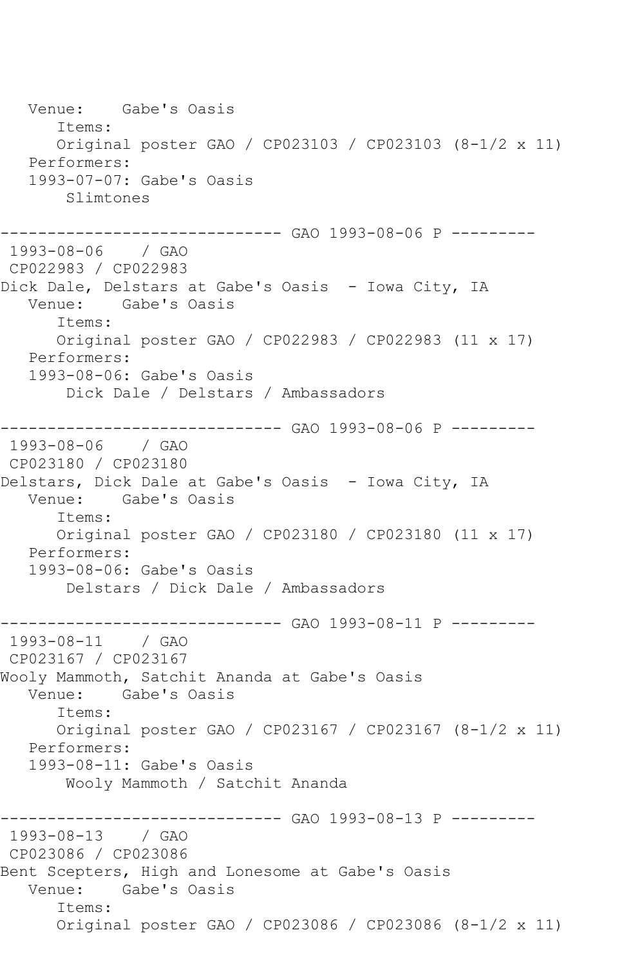Venue: Gabe's Oasis Items: Original poster GAO / CP023103 / CP023103 (8-1/2 x 11) Performers: 1993-07-07: Gabe's Oasis Slimtones ------------------------------ GAO 1993-08-06 P --------- 1993-08-06 / GAO CP022983 / CP022983 Dick Dale, Delstars at Gabe's Oasis - Iowa City, IA Venue: Gabe's Oasis Items: Original poster GAO / CP022983 / CP022983 (11 x 17) Performers: 1993-08-06: Gabe's Oasis Dick Dale / Delstars / Ambassadors ------------------------------ GAO 1993-08-06 P --------- 1993-08-06 / GAO CP023180 / CP023180 Delstars, Dick Dale at Gabe's Oasis - Iowa City, IA Venue: Gabe's Oasis Items: Original poster GAO / CP023180 / CP023180 (11 x 17) Performers: 1993-08-06: Gabe's Oasis Delstars / Dick Dale / Ambassadors ---------------------------------- GAO 1993-08-11 P ----------<br>1993-08-11 / GAO 1993-08-11 CP023167 / CP023167 Wooly Mammoth, Satchit Ananda at Gabe's Oasis Venue: Gabe's Oasis Items: Original poster GAO / CP023167 / CP023167 (8-1/2 x 11) Performers: 1993-08-11: Gabe's Oasis Wooly Mammoth / Satchit Ananda ----------- GAO 1993-08-13 P ---------1993-08-13 / GAO CP023086 / CP023086 Bent Scepters, High and Lonesome at Gabe's Oasis Venue: Gabe's Oasis Items: Original poster GAO / CP023086 / CP023086 (8-1/2 x 11)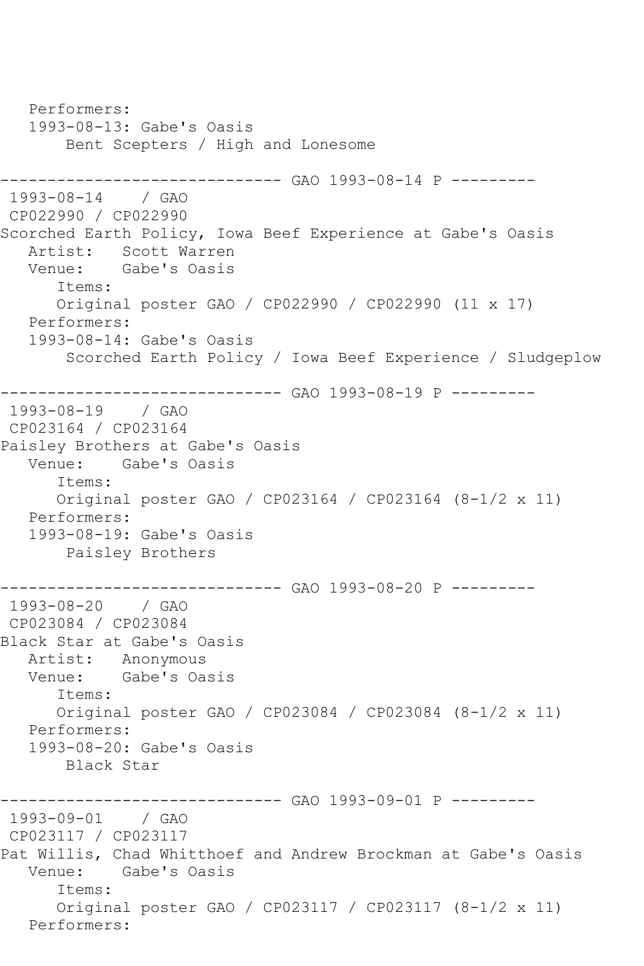Performers: 1993-08-13: Gabe's Oasis Bent Scepters / High and Lonesome ------------------------------ GAO 1993-08-14 P --------- 1993-08-14 / GAO CP022990 / CP022990 Scorched Earth Policy, Iowa Beef Experience at Gabe's Oasis Artist: Scott Warren<br>Venue: Gabe's Oasis Gabe's Oasis Items: Original poster GAO / CP022990 / CP022990 (11 x 17) Performers: 1993-08-14: Gabe's Oasis Scorched Earth Policy / Iowa Beef Experience / Sludgeplow ------------------------------ GAO 1993-08-19 P --------- 1993-08-19 CP023164 / CP023164 Paisley Brothers at Gabe's Oasis Gabe's Oasis Items: Original poster GAO / CP023164 / CP023164 (8-1/2 x 11) Performers: 1993-08-19: Gabe's Oasis Paisley Brothers ------------------------------ GAO 1993-08-20 P --------- 1993-08-20 CP023084 / CP023084 Black Star at Gabe's Oasis Artist: Anonymous<br>Venue: Gabe's Oa Gabe's Oasis Items: Original poster GAO / CP023084 / CP023084 (8-1/2 x 11) Performers: 1993-08-20: Gabe's Oasis Black Star \_\_\_\_\_\_\_\_\_\_\_\_\_\_\_\_ ------------------------------ GAO 1993-09-01 P --------- 1993-09-01 / GAO CP023117 / CP023117 Pat Willis, Chad Whitthoef and Andrew Brockman at Gabe's Oasis<br>Venue: Gabe's Oasis Gabe's Oasis Items: Original poster GAO / CP023117 / CP023117 (8-1/2 x 11) Performers: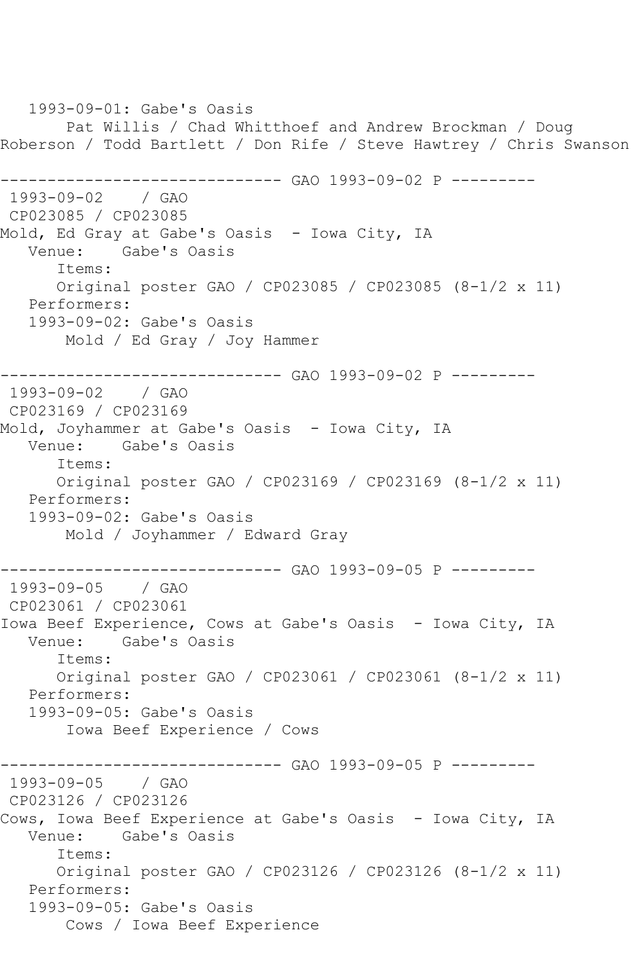1993-09-01: Gabe's Oasis Pat Willis / Chad Whitthoef and Andrew Brockman / Doug Roberson / Todd Bartlett / Don Rife / Steve Hawtrey / Chris Swanson ------------------------------ GAO 1993-09-02 P --------- 1993-09-02 / GAO CP023085 / CP023085 Mold, Ed Gray at Gabe's Oasis - Iowa City, IA Venue: Gabe's Oasis Items: Original poster GAO / CP023085 / CP023085 (8-1/2 x 11) Performers: 1993-09-02: Gabe's Oasis Mold / Ed Gray / Joy Hammer ------------------------------ GAO 1993-09-02 P --------- 1993-09-02 / GAO CP023169 / CP023169 Mold, Joyhammer at Gabe's Oasis - Iowa City, IA Venue: Gabe's Oasis Items: Original poster GAO / CP023169 / CP023169 (8-1/2 x 11) Performers: 1993-09-02: Gabe's Oasis Mold / Joyhammer / Edward Gray ------------------------------ GAO 1993-09-05 P --------- 1993-09-05 / GAO CP023061 / CP023061 Iowa Beef Experience, Cows at Gabe's Oasis - Iowa City, IA<br>Venue: Gabe's Oasis Gabe's Oasis Items: Original poster GAO / CP023061 / CP023061 (8-1/2 x 11) Performers: 1993-09-05: Gabe's Oasis Iowa Beef Experience / Cows ----------- GAO 1993-09-05 P ---------1993-09-05 / GAO CP023126 / CP023126 Cows, Iowa Beef Experience at Gabe's Oasis - Iowa City, IA Venue: Gabe's Oasis Items: Original poster GAO / CP023126 / CP023126 (8-1/2 x 11) Performers: 1993-09-05: Gabe's Oasis Cows / Iowa Beef Experience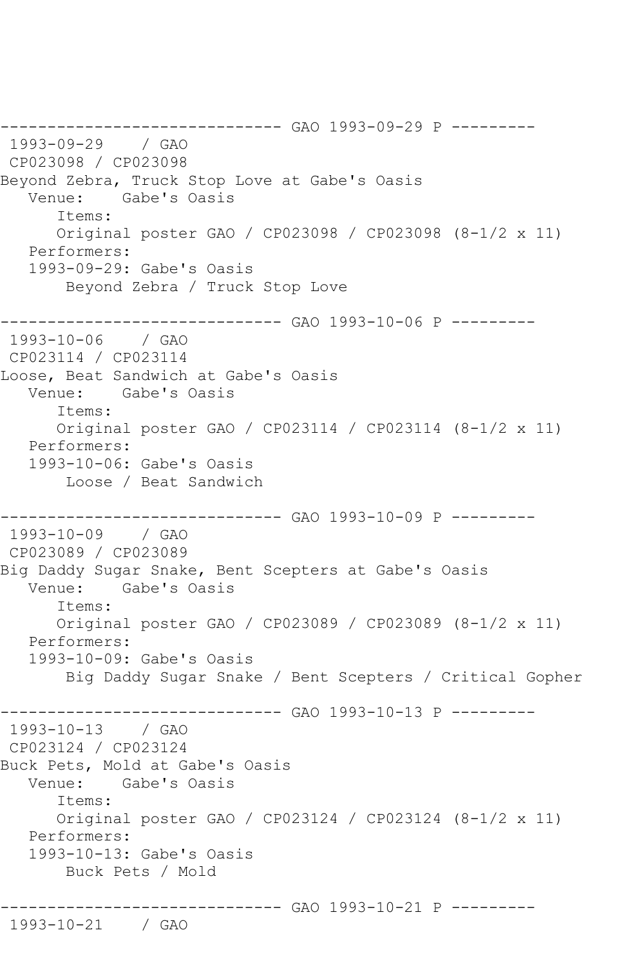------------------------------ GAO 1993-09-29 P --------- 1993-09-29 / GAO CP023098 / CP023098 Beyond Zebra, Truck Stop Love at Gabe's Oasis Venue: Gabe's Oasis Items: Original poster GAO / CP023098 / CP023098 (8-1/2 x 11) Performers: 1993-09-29: Gabe's Oasis Beyond Zebra / Truck Stop Love ------------------------------ GAO 1993-10-06 P --------- 1993-10-06 / GAO CP023114 / CP023114 Loose, Beat Sandwich at Gabe's Oasis Venue: Gabe's Oasis Items: Original poster GAO / CP023114 / CP023114 (8-1/2 x 11) Performers: 1993-10-06: Gabe's Oasis Loose / Beat Sandwich ------------------------------ GAO 1993-10-09 P --------- 1993-10-09 / GAO CP023089 / CP023089 Big Daddy Sugar Snake, Bent Scepters at Gabe's Oasis Venue: Gabe's Oasis Items: Original poster GAO / CP023089 / CP023089 (8-1/2 x 11) Performers: 1993-10-09: Gabe's Oasis Big Daddy Sugar Snake / Bent Scepters / Critical Gopher ----------- GAO 1993-10-13 P ---------1993-10-13 / GAO CP023124 / CP023124 Buck Pets, Mold at Gabe's Oasis Venue: Gabe's Oasis Items: Original poster GAO / CP023124 / CP023124 (8-1/2 x 11) Performers: 1993-10-13: Gabe's Oasis Buck Pets / Mold ------------------------------ GAO 1993-10-21 P --------- 1993-10-21 / GAO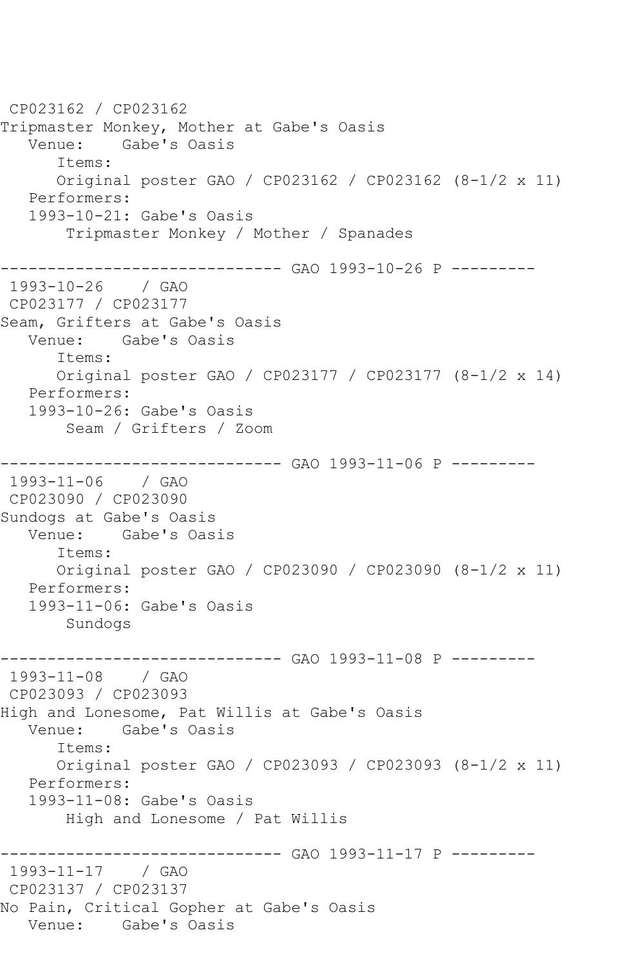CP023162 / CP023162 Tripmaster Monkey, Mother at Gabe's Oasis Venue: Gabe's Oasis Items: Original poster GAO / CP023162 / CP023162 (8-1/2 x 11) Performers: 1993-10-21: Gabe's Oasis Tripmaster Monkey / Mother / Spanades ------------------------------ GAO 1993-10-26 P --------- 1993-10-26 / GAO CP023177 / CP023177 Seam, Grifters at Gabe's Oasis Venue: Gabe's Oasis Items: Original poster GAO / CP023177 / CP023177 (8-1/2 x 14) Performers: 1993-10-26: Gabe's Oasis Seam / Grifters / Zoom ------------------------------ GAO 1993-11-06 P --------- 1993-11-06 / GAO CP023090 / CP023090 Sundogs at Gabe's Oasis Venue: Gabe's Oasis Items: Original poster GAO / CP023090 / CP023090 (8-1/2 x 11) Performers: 1993-11-06: Gabe's Oasis Sundogs ---------- GAO 1993-11-08 P ---------1993-11-08 / GAO CP023093 / CP023093 High and Lonesome, Pat Willis at Gabe's Oasis Venue: Gabe's Oasis Items: Original poster GAO / CP023093 / CP023093 (8-1/2 x 11) Performers: 1993-11-08: Gabe's Oasis High and Lonesome / Pat Willis ------------------------------ GAO 1993-11-17 P --------- 1993-11-17 / GAO CP023137 / CP023137 No Pain, Critical Gopher at Gabe's Oasis Venue: Gabe's Oasis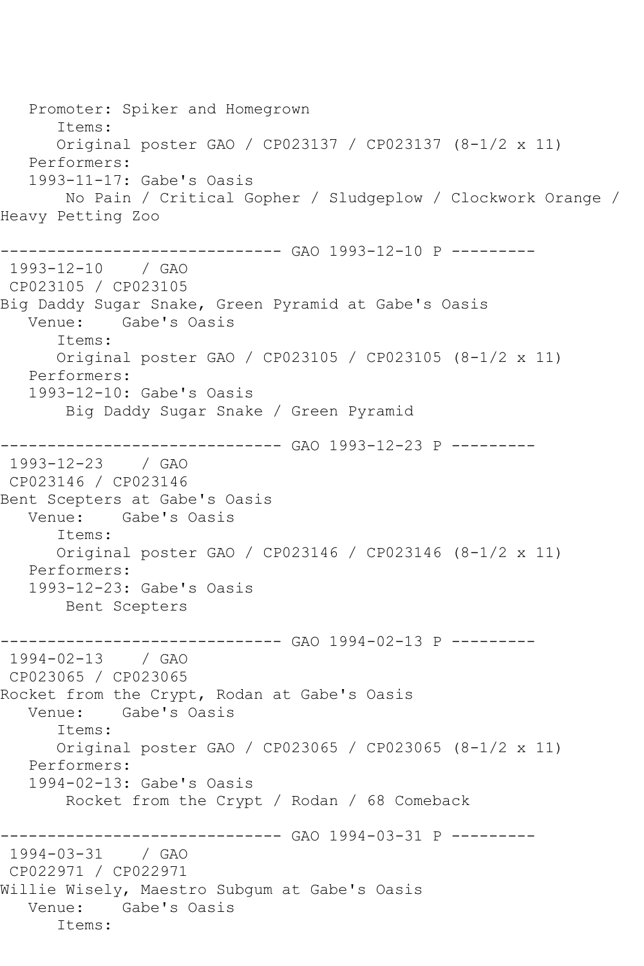Promoter: Spiker and Homegrown Items: Original poster GAO / CP023137 / CP023137 (8-1/2 x 11) Performers: 1993-11-17: Gabe's Oasis No Pain / Critical Gopher / Sludgeplow / Clockwork Orange / Heavy Petting Zoo ------------------------------ GAO 1993-12-10 P --------- 1993-12-10 / GAO CP023105 / CP023105 Big Daddy Sugar Snake, Green Pyramid at Gabe's Oasis Venue: Gabe's Oasis Items: Original poster GAO / CP023105 / CP023105 (8-1/2 x 11) Performers: 1993-12-10: Gabe's Oasis Big Daddy Sugar Snake / Green Pyramid ------------------------------ GAO 1993-12-23 P --------- 1993-12-23 / GAO CP023146 / CP023146 Bent Scepters at Gabe's Oasis Gabe's Oasis Items: Original poster GAO / CP023146 / CP023146 (8-1/2 x 11) Performers: 1993-12-23: Gabe's Oasis Bent Scepters ----------- GAO 1994-02-13 P ---------1994-02-13 / GAO CP023065 / CP023065 Rocket from the Crypt, Rodan at Gabe's Oasis Venue: Gabe's Oasis Items: Original poster GAO / CP023065 / CP023065 (8-1/2 x 11) Performers: 1994-02-13: Gabe's Oasis Rocket from the Crypt / Rodan / 68 Comeback ------------------------------ GAO 1994-03-31 P --------- 1994-03-31 / GAO CP022971 / CP022971 Willie Wisely, Maestro Subgum at Gabe's Oasis Venue: Gabe's Oasis Items: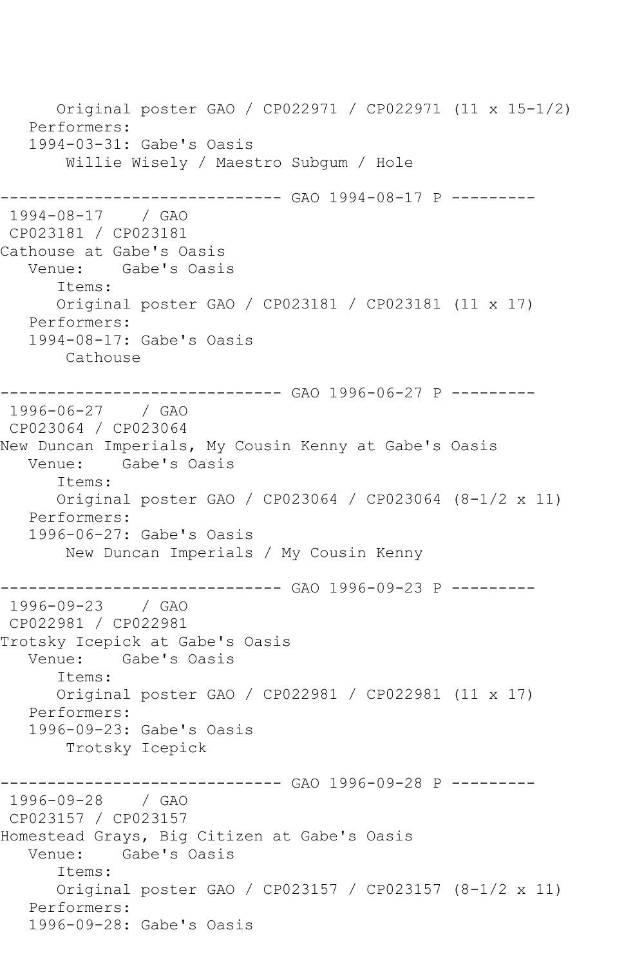Original poster GAO / CP022971 / CP022971 (11 x 15-1/2) Performers: 1994-03-31: Gabe's Oasis Willie Wisely / Maestro Subgum / Hole ----------- GAO 1994-08-17 P ---------1994-08-17 / GAO CP023181 / CP023181 Cathouse at Gabe's Oasis Venue: Gabe's Oasis Items: Original poster GAO / CP023181 / CP023181 (11 x 17) Performers: 1994-08-17: Gabe's Oasis Cathouse --------------- GAO 1996-06-27 P ---------1996-06-27 / GAO CP023064 / CP023064 New Duncan Imperials, My Cousin Kenny at Gabe's Oasis Venue: Gabe's Oasis Items: Original poster GAO / CP023064 / CP023064 (8-1/2 x 11) Performers: 1996-06-27: Gabe's Oasis New Duncan Imperials / My Cousin Kenny ------------------------------ GAO 1996-09-23 P --------- 1996-09-23 CP022981 / CP022981 Trotsky Icepick at Gabe's Oasis Venue: Gabe's Oasis Items: Original poster GAO / CP022981 / CP022981 (11 x 17) Performers: 1996-09-23: Gabe's Oasis Trotsky Icepick ------------------------------ GAO 1996-09-28 P --------- 1996-09-28 / GAO CP023157 / CP023157 Homestead Grays, Big Citizen at Gabe's Oasis Gabe's Oasis Items: Original poster GAO / CP023157 / CP023157 (8-1/2 x 11) Performers: 1996-09-28: Gabe's Oasis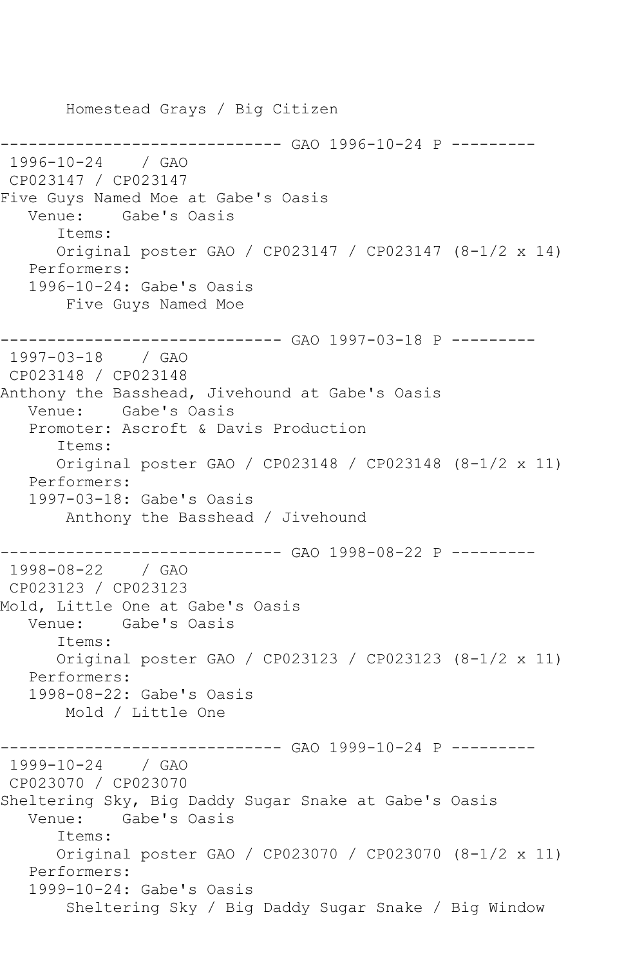Homestead Grays / Big Citizen ------------------------------ GAO 1996-10-24 P --------- 1996-10-24 / GAO CP023147 / CP023147 Five Guys Named Moe at Gabe's Oasis Venue: Gabe's Oasis Items: Original poster GAO / CP023147 / CP023147 (8-1/2 x 14) Performers: 1996-10-24: Gabe's Oasis Five Guys Named Moe ------------------------------ GAO 1997-03-18 P --------- 1997-03-18 / GAO CP023148 / CP023148 Anthony the Basshead, Jivehound at Gabe's Oasis Venue: Gabe's Oasis Promoter: Ascroft & Davis Production Items: Original poster GAO / CP023148 / CP023148 (8-1/2 x 11) Performers: 1997-03-18: Gabe's Oasis Anthony the Basshead / Jivehound ------------------------------ GAO 1998-08-22 P --------- 1998-08-22 / GAO CP023123 / CP023123 Mold, Little One at Gabe's Oasis Venue: Gabe's Oasis Items: Original poster GAO / CP023123 / CP023123 (8-1/2 x 11) Performers: 1998-08-22: Gabe's Oasis Mold / Little One ------------------------------ GAO 1999-10-24 P --------- 1999-10-24 / GAO CP023070 / CP023070 Sheltering Sky, Big Daddy Sugar Snake at Gabe's Oasis Venue: Gabe's Oasis Items: Original poster GAO / CP023070 / CP023070 (8-1/2 x 11) Performers: 1999-10-24: Gabe's Oasis Sheltering Sky / Big Daddy Sugar Snake / Big Window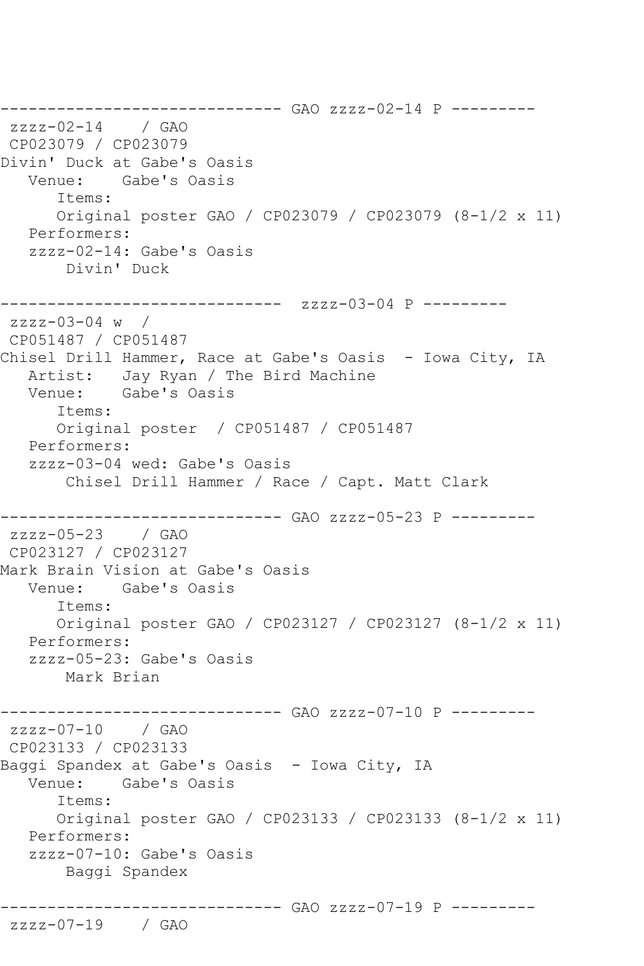------------------------------ GAO zzzz-02-14 P -------- zzzz-02-14 / GAO CP023079 / CP023079 Divin' Duck at Gabe's Oasis Venue: Gabe's Oasis Items: Original poster GAO / CP023079 / CP023079 (8-1/2 x 11) Performers: zzzz-02-14: Gabe's Oasis Divin' Duck ------------------------------ zzzz-03-04 P -------- zzzz-03-04 w / CP051487 / CP051487 Chisel Drill Hammer, Race at Gabe's Oasis - Iowa City, IA Artist: Jay Ryan / The Bird Machine Venue: Gabe's Oasis Items: Original poster / CP051487 / CP051487 Performers: zzzz-03-04 wed: Gabe's Oasis Chisel Drill Hammer / Race / Capt. Matt Clark ------------------------------ GAO zzzz-05-23 P -------- zzzz-05-23 / GAO CP023127 / CP023127 Mark Brain Vision at Gabe's Oasis Venue: Gabe's Oasis Items: Original poster GAO / CP023127 / CP023127 (8-1/2 x 11) Performers: zzzz-05-23: Gabe's Oasis Mark Brian ------------------------------ GAO zzzz-07-10 P -------- zzzz-07-10 / GAO CP023133 / CP023133 Baggi Spandex at Gabe's Oasis - Iowa City, IA Venue: Gabe's Oasis Items: Original poster GAO / CP023133 / CP023133 (8-1/2 x 11) Performers: zzzz-07-10: Gabe's Oasis Baggi Spandex ------------------------------ GAO zzzz-07-19 P ---------

zzzz-07-19 / GAO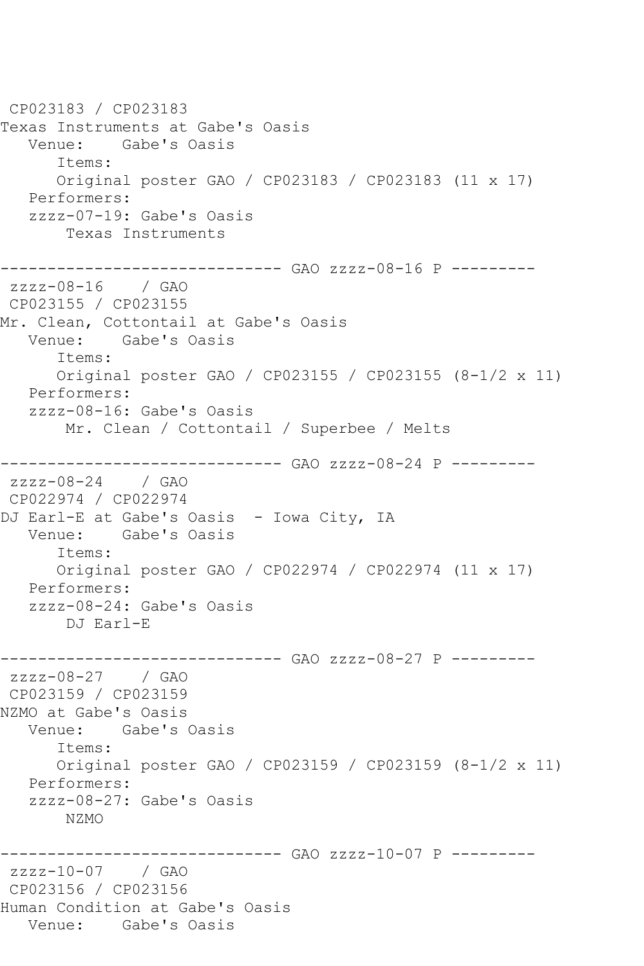CP023183 / CP023183 Texas Instruments at Gabe's Oasis Venue: Gabe's Oasis Items: Original poster GAO / CP023183 / CP023183 (11 x 17) Performers: zzzz-07-19: Gabe's Oasis Texas Instruments ------------------------------ GAO zzzz-08-16 P -------- zzzz-08-16 / GAO CP023155 / CP023155 Mr. Clean, Cottontail at Gabe's Oasis Venue: Gabe's Oasis Items: Original poster GAO / CP023155 / CP023155 (8-1/2 x 11) Performers: zzzz-08-16: Gabe's Oasis Mr. Clean / Cottontail / Superbee / Melts ------------------------------ GAO zzzz-08-24 P -------- zzzz-08-24 / GAO CP022974 / CP022974 DJ Earl-E at Gabe's Oasis - Iowa City, IA Venue: Gabe's Oasis Items: Original poster GAO / CP022974 / CP022974 (11 x 17) Performers: zzzz-08-24: Gabe's Oasis DJ Earl-E ------------------------------ GAO zzzz-08-27 P -------- zzzz-08-27 / GAO CP023159 / CP023159 NZMO at Gabe's Oasis Venue: Gabe's Oasis Items: Original poster GAO / CP023159 / CP023159 (8-1/2 x 11) Performers: zzzz-08-27: Gabe's Oasis NZMO ------------------------------ GAO zzzz-10-07 P -------- zzzz-10-07 / GAO CP023156 / CP023156 Human Condition at Gabe's Oasis Venue: Gabe's Oasis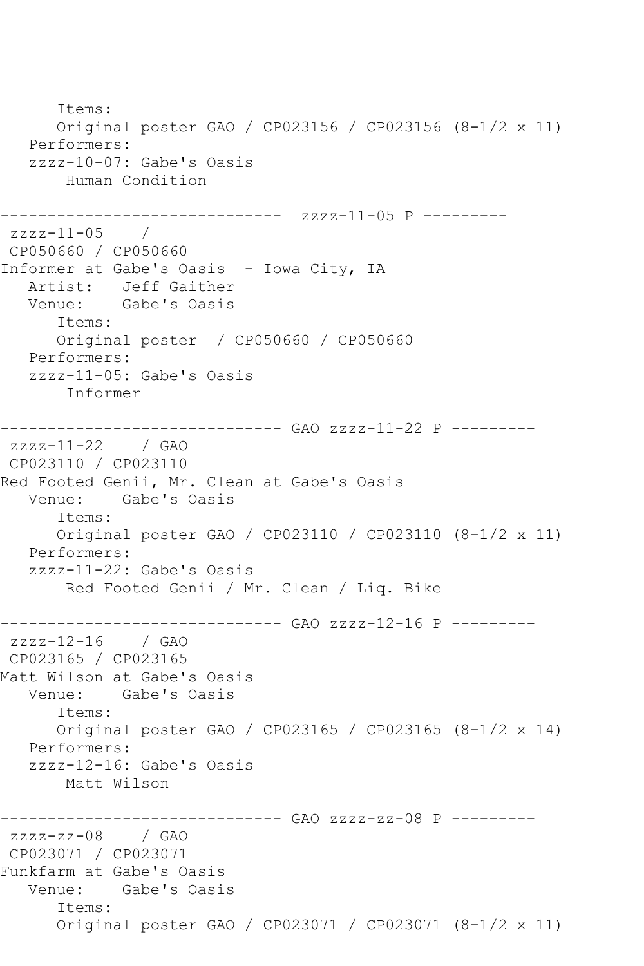Items: Original poster GAO / CP023156 / CP023156 (8-1/2 x 11) Performers: zzzz-10-07: Gabe's Oasis Human Condition ------------------------------ zzzz-11-05 P --------  $zzzz-11-05$  / CP050660 / CP050660 Informer at Gabe's Oasis - Iowa City, IA Artist: Jeff Gaither Venue: Gabe's Oasis Items: Original poster / CP050660 / CP050660 Performers: zzzz-11-05: Gabe's Oasis Informer ------------------------------ GAO zzzz-11-22 P -------- zzzz-11-22 / GAO CP023110 / CP023110 Red Footed Genii, Mr. Clean at Gabe's Oasis Venue: Gabe's Oasis Items: Original poster GAO / CP023110 / CP023110 (8-1/2 x 11) Performers: zzzz-11-22: Gabe's Oasis Red Footed Genii / Mr. Clean / Liq. Bike ------------------------------ GAO zzzz-12-16 P -------- zzzz-12-16 / GAO CP023165 / CP023165 Matt Wilson at Gabe's Oasis Venue: Gabe's Oasis Items: Original poster GAO / CP023165 / CP023165 (8-1/2 x 14) Performers: zzzz-12-16: Gabe's Oasis Matt Wilson ------------------------------ GAO zzzz-zz-08 P -------- zzzz-zz-08 / GAO CP023071 / CP023071 Funkfarm at Gabe's Oasis Venue: Gabe's Oasis Items: Original poster GAO / CP023071 / CP023071 (8-1/2 x 11)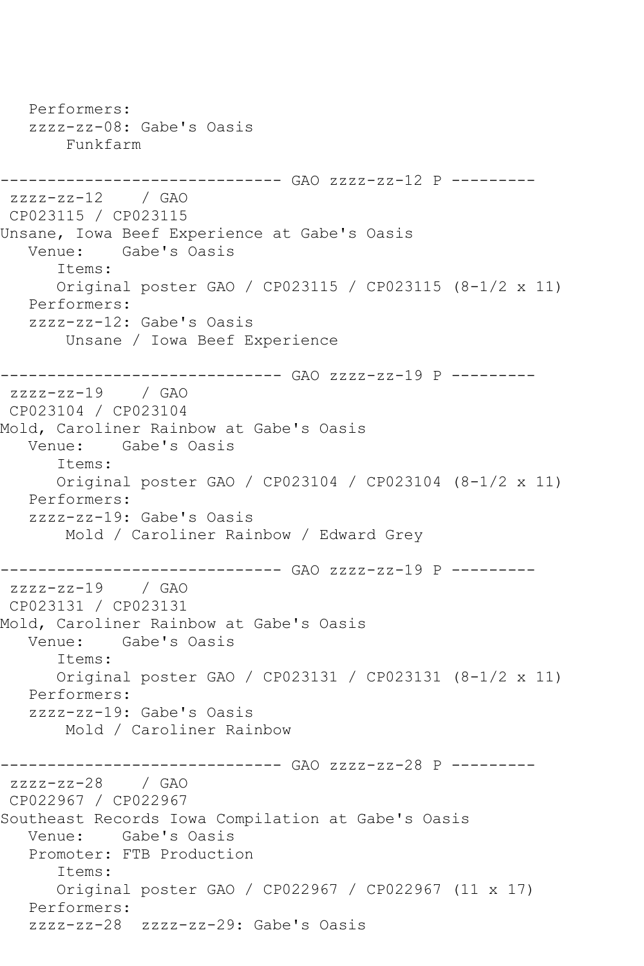Performers: zzzz-zz-08: Gabe's Oasis Funkfarm ------------------------------ GAO zzzz-zz-12 P -------- zzzz-zz-12 / GAO CP023115 / CP023115 Unsane, Iowa Beef Experience at Gabe's Oasis Venue: Gabe's Oasis Items: Original poster GAO / CP023115 / CP023115 (8-1/2 x 11) Performers: zzzz-zz-12: Gabe's Oasis Unsane / Iowa Beef Experience ------------------------------ GAO zzzz-zz-19 P -------- zzzz-zz-19 / GAO CP023104 / CP023104 Mold, Caroliner Rainbow at Gabe's Oasis Venue: Gabe's Oasis Items: Original poster GAO / CP023104 / CP023104 (8-1/2 x 11) Performers: zzzz-zz-19: Gabe's Oasis Mold / Caroliner Rainbow / Edward Grey ------------------------------ GAO zzzz-zz-19 P --------  $zzzz-zz-19$  / GAO CP023131 / CP023131 Mold, Caroliner Rainbow at Gabe's Oasis Venue: Gabe's Oasis Items: Original poster GAO / CP023131 / CP023131 (8-1/2 x 11) Performers: zzzz-zz-19: Gabe's Oasis Mold / Caroliner Rainbow ------------------------------ GAO zzzz-zz-28 P -------- zzzz-zz-28 / GAO CP022967 / CP022967 Southeast Records Iowa Compilation at Gabe's Oasis Venue: Gabe's Oasis Promoter: FTB Production Items: Original poster GAO / CP022967 / CP022967 (11 x 17) Performers: zzzz-zz-28 zzzz-zz-29: Gabe's Oasis